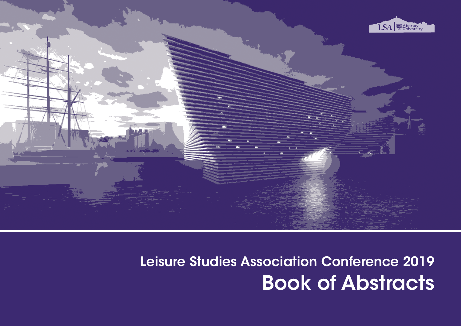

# Leisure Studies Association Conference 2019 Book of Abstracts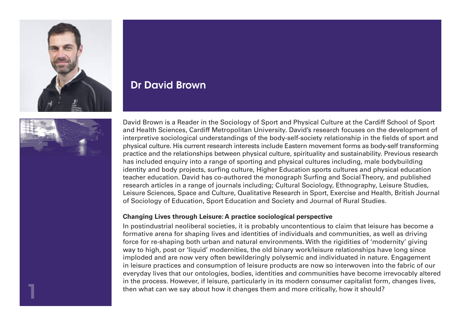



# Dr David Brown

David Brown is a Reader in the Sociology of Sport and Physical Culture at the Cardiff School of Sport and Health Sciences, Cardiff Metropolitan University. David's research focuses on the development of interpretive sociological understandings of the body-self-society relationship in the fields of sport and physical culture. His current research interests include Eastern movement forms as body-self transforming practice and the relationships between physical culture, spirituality and sustainability. Previous research has included enquiry into a range of sporting and physical cultures including, male bodybuilding identity and body projects, surfing culture, Higher Education sports cultures and physical education teacher education. David has co-authored the monograph Surfing and Social Theory, and published research articles in a range of journals including; Cultural Sociology, Ethnography, Leisure Studies, Leisure Sciences, Space and Culture, Qualitative Research in Sport, Exercise and Health, British Journal of Sociology of Education, Sport Education and Society and Journal of Rural Studies.

#### **Changing Lives through Leisure: A practice sociological perspective**

In postindustrial neoliberal societies, it is probably uncontentious to claim that leisure has become a formative arena for shaping lives and identities of individuals and communities, as well as driving force for re-shaping both urban and natural environments. With the rigidities of 'modernity' giving way to high, post or 'liquid' modernities, the old binary work/leisure relationships have long since imploded and are now very often bewilderingly polysemic and individuated in nature. Engagement in leisure practices and consumption of leisure products are now so interwoven into the fabric of our everyday lives that our ontologies, bodies, identities and communities have become irrevocably altered in the process. However, if leisure, particularly in its modern consumer capitalist form, changes lives, then what can we say about how it changes them and more critically, how it should? 1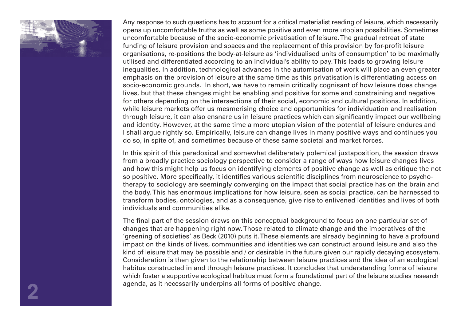

Any response to such questions has to account for a critical materialist reading of leisure, which necessarily opens up uncomfortable truths as well as some positive and even more utopian possibilities. Sometimes uncomfortable because of the socio-economic privatisation of leisure. The gradual retreat of state funding of leisure provision and spaces and the replacement of this provision by for-profit leisure organisations, re-positions the body-at-leisure as 'individualised units of consumption' to be maximally utilised and differentiated according to an individual's ability to pay. This leads to growing leisure inequalities. In addition, technological advances in the automisation of work will place an even greater emphasis on the provision of leisure at the same time as this privatisation is differentiating access on socio-economic grounds. In short, we have to remain critically cognisant of how leisure does change lives, but that these changes might be enabling and positive for some and constraining and negative for others depending on the intersections of their social, economic and cultural positions. In addition, while leisure markets offer us mesmerising choice and opportunities for individuation and realisation through leisure, it can also ensnare us in leisure practices which can significantly impact our wellbeing and identity. However, at the same time a more utopian vision of the potential of leisure endures and I shall argue rightly so. Empirically, leisure can change lives in many positive ways and continues you do so, in spite of, and sometimes because of these same societal and market forces.

In this spirit of this paradoxical and somewhat deliberately polemical juxtaposition, the session draws from a broadly practice sociology perspective to consider a range of ways how leisure changes lives and how this might help us focus on identifying elements of positive change as well as critique the not so positive. More specifically, it identifies various scientific disciplines from neuroscience to psychotherapy to sociology are seemingly converging on the impact that social practice has on the brain and the body. This has enormous implications for how leisure, seen as social practice, can be harnessed to transform bodies, ontologies, and as a consequence, give rise to enlivened identities and lives of both individuals and communities alike.

The final part of the session draws on this conceptual background to focus on one particular set of changes that are happening right now. Those related to climate change and the imperatives of the 'greening of societies' as Beck (2010) puts it. These elements are already beginning to have a profound impact on the kinds of lives, communities and identities we can construct around leisure and also the kind of leisure that may be possible and / or desirable in the future given our rapidly decaying ecosystem. Consideration is then given to the relationship between leisure practices and the idea of an ecological habitus constructed in and through leisure practices. It concludes that understanding forms of leisure which foster a supportive ecological habitus must form a foundational part of the leisure studies research agenda, as it necessarily underpins all forms of positive change.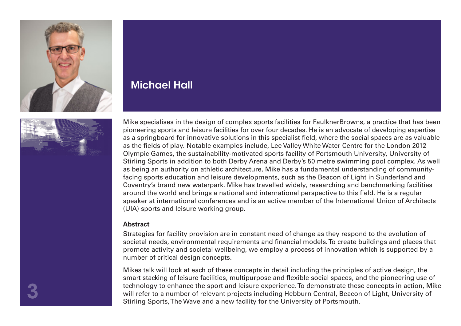



# Michael Hall

Mike specialises in the design of complex sports facilities for FaulknerBrowns, a practice that has been<br>pioneering sports and leisure facilities for over four decades. He is an advocate of developing expertise<br>as a enring pioneering sports and leisure facilities for over four decades. He is an advocate of developing expertise as a springboard for innovative solutions in this specialist field, where the social spaces are as valuable as the fields of play. Notable examples include, Lee Valley White Water Centre for the London 2012 Olympic Games, the sustainability-motivated sports facility of Portsmouth University, University of Stirling Sports in addition to both Derby Arena and Derby's 50 metre swimming pool complex. As well as being an authority on athletic architecture, Mike has a fundamental understanding of communityfacing sports education and leisure developments, such as the Beacon of Light in Sunderland and Coventry's brand new waterpark. Mike has travelled widely, researching and benchmarking facilities around the world and brings a national and international perspective to this field. He is a regular speaker at international conferences and is an active member of the International Union of Architects (UIA) sports and leisure working group.

#### **Abstract**

Strategies for facility provision are in constant need of change as they respond to the evolution of societal needs, environmental requirements and financial models. To create buildings and places that promote activity and societal wellbeing, we employ a process of innovation which is supported by a number of critical design concepts.

Mikes talk will look at each of these concepts in detail including the principles of active design, the smart stacking of leisure facilities, multipurpose and flexible social spaces, and the pioneering use of technology to enhance the sport and leisure experience. To demonstrate these concepts in action, Mike will refer to a number of relevant projects including Hebburn Central, Beacon of Light, University of Stirling Sports, The Wave and a new facility for the University of Portsmouth.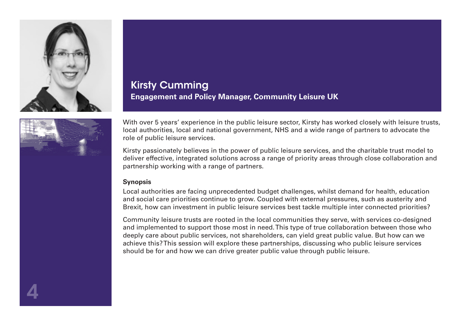

# Kirsty Cumming **Engagement and Policy Manager, Community Leisure UK**



Kirsty passionately believes in the power of public leisure services, and the charitable trust model to deliver effective, integrated solutions across a range of priority areas through close collaboration and partnership working with a range of partners.

#### **Synopsis**

Local authorities are facing unprecedented budget challenges, whilst demand for health, education and social care priorities continue to grow. Coupled with external pressures, such as austerity and Brexit, how can investment in public leisure services best tackle multiple inter connected priorities?

Community leisure trusts are rooted in the local communities they serve, with services co-designed and implemented to support those most in need. This type of true collaboration between those who deeply care about public services, not shareholders, can yield great public value. But how can we achieve this? This session will explore these partnerships, discussing who public leisure services should be for and how we can drive greater public value through public leisure.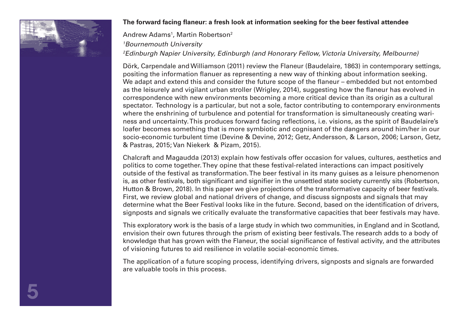

#### **The forward facing flaneur: a fresh look at information seeking for the beer festival attendee**

## Andrew Adams<sup>1</sup>, Martin Robertson<sup>2</sup> *1 Bournemouth University 2 Edinburgh Napier University, Edinburgh (and Honorary Fellow, Victoria University, Melbourne)*

Dörk, Carpendale and Williamson (2011) review the Flaneur (Baudelaire, 1863) in contemporary settings, positing the information flanuer as representing a new way of thinking about information seeking. We adapt and extend this and consider the future scope of the flaneur – embedded but not entombed as the leisurely and vigilant urban stroller (Wrigley, 2014), suggesting how the flaneur has evolved in correspondence with new environments becoming a more critical device than its origin as a cultural spectator. Technology is a particular, but not a sole, factor contributing to contemporary environments where the enshrining of turbulence and potential for transformation is simultaneously creating wariness and uncertainty. This produces forward facing reflections, i.e. visions, as the spirit of Baudelaire's loafer becomes something that is more symbiotic and cognisant of the dangers around him/her in our socio-economic turbulent time (Devine & Devine, 2012; Getz, Andersson, & Larson, 2006; Larson, Getz, & Pastras, 2015; Van Niekerk & Pizam, 2015).

Chalcraft and Magaudda (2013) explain how festivals offer occasion for values, cultures, aesthetics and politics to come together. They opine that these festival-related interactions can impact positively outside of the festival as transformation. The beer festival in its many guises as a leisure phenomenon is, as other festivals, both significant and signifier in the unsettled state society currently sits (Robertson, Hutton & Brown, 2018). In this paper we give projections of the transformative capacity of beer festivals. First, we review global and national drivers of change, and discuss signposts and signals that may determine what the Beer Festival looks like in the future. Second, based on the identification of drivers, signposts and signals we critically evaluate the transformative capacities that beer festivals may have.

This exploratory work is the basis of a large study in which two communities, in England and in Scotland, envision their own futures through the prism of existing beer festivals. The research adds to a body of knowledge that has grown with the Flaneur, the social significance of festival activity, and the attributes of visioning futures to aid resilience in volatile social-economic times.

The application of a future scoping process, identifying drivers, signposts and signals are forwarded are valuable tools in this process.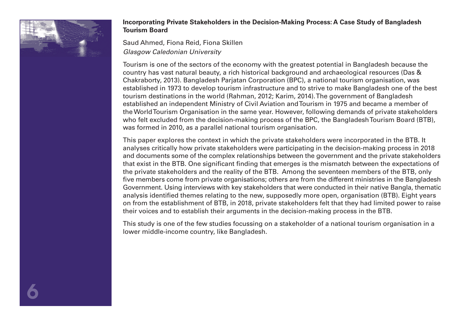

#### **Incorporating Private Stakeholders in the Decision-Making Process: A Case Study of Bangladesh Tourism Board**

Saud Ahmed, Fiona Reid, Fiona Skillen *Glasgow Caledonian University* 

Tourism is one of the sectors of the economy with the greatest potential in Bangladesh because the country has vast natural beauty, a rich historical background and archaeological resources (Das & Chakraborty, 2013). Bangladesh Parjatan Corporation (BPC), a national tourism organisation, was established in 1973 to develop tourism infrastructure and to strive to make Bangladesh one of the best tourism destinations in the world (Rahman, 2012; Karim, 2014). The government of Bangladesh established an independent Ministry of Civil Aviation and Tourism in 1975 and became a member of the World Tourism Organisation in the same year. However, following demands of private stakeholders who felt excluded from the decision-making process of the BPC, the Bangladesh Tourism Board (BTB), was formed in 2010, as a parallel national tourism organisation.

This paper explores the context in which the private stakeholders were incorporated in the BTB. It analyses critically how private stakeholders were participating in the decision-making process in 2018 and documents some of the complex relationships between the government and the private stakeholders that exist in the BTB. One significant finding that emerges is the mismatch between the expectations of the private stakeholders and the reality of the BTB. Among the seventeen members of the BTB, only five members come from private organisations; others are from the different ministries in the Bangladesh Government. Using interviews with key stakeholders that were conducted in their native Bangla, thematic analysis identified themes relating to the new, supposedly more open, organisation (BTB). Eight years on from the establishment of BTB, in 2018, private stakeholders felt that they had limited power to raise their voices and to establish their arguments in the decision-making process in the BTB.

This study is one of the few studies focussing on a stakeholder of a national tourism organisation in a lower middle-income country, like Bangladesh.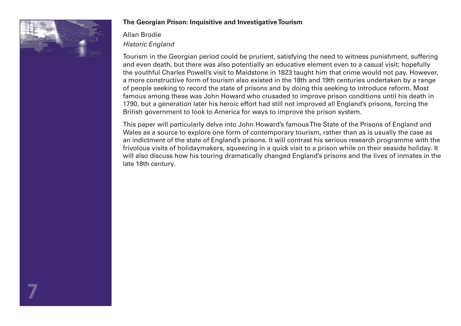

7

#### **The Georgian Prison: Inquisitive and Investigative Tourism**

# Allan Brodie *Historic England*

Tourism in the Georgian period could be prurient, satisfying the need to witness punishment, suffering and even death, but there was also potentially an educative element even to a casual visit; hopefully the youthful Charles Powell's visit to Maidstone in 1823 taught him that crime would not pay. However, a more constructive form of tourism also existed in the 18th and 19th centuries undertaken by a range of people seeking to record the state of prisons and by doing this seeking to introduce reform. Most famous among these was John Howard who crusaded to improve prison conditions until his death in 1790, but a generation later his heroic effort had still not improved all England's prisons, forcing the British government to look to America for ways to improve the prison system.

This paper will particularly delve into John Howard's famous The State of the Prisons of England and Wales as a source to explore one form of contemporary tourism, rather than as is usually the case as an indictment of the state of England's prisons. It will contrast his serious research programme with the frivolous visits of holidaymakers, squeezing in a quick visit to a prison while on their seaside holiday. It will also discuss how his touring dramatically changed England's prisons and the lives of inmates in the late 18th century.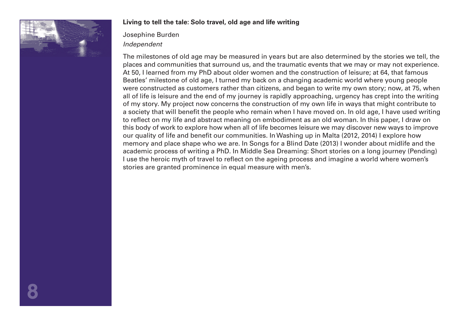

#### **Living to tell the tale: Solo travel, old age and life writing**

Josephine Burden *Independent* 

The milestones of old age may be measured in years but are also determined by the stories we tell, the places and communities that surround us, and the traumatic events that we may or may not experience. At 50, I learned from my PhD about older women and the construction of leisure; at 64, that famous Beatles' milestone of old age, I turned my back on a changing academic world where young people were constructed as customers rather than citizens, and began to write my own story; now, at 75, when all of life is leisure and the end of my journey is rapidly approaching, urgency has crept into the writing of my story. My project now concerns the construction of my own life in ways that might contribute to a society that will benefit the people who remain when I have moved on. In old age, I have used writing to reflect on my life and abstract meaning on embodiment as an old woman. In this paper, I draw on this body of work to explore how when all of life becomes leisure we may discover new ways to improve our quality of life and benefit our communities. In Washing up in Malta (2012, 2014) I explore how memory and place shape who we are. In Songs for a Blind Date (2013) I wonder about midlife and the academic process of writing a PhD. In Middle Sea Dreaming: Short stories on a long journey (Pending) I use the heroic myth of travel to reflect on the ageing process and imagine a world where women's stories are granted prominence in equal measure with men's.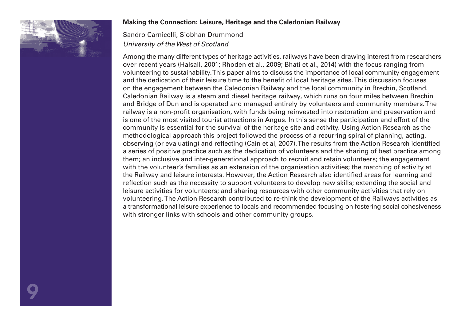

#### **Making the Connection: Leisure, Heritage and the Caledonian Railway**

Sandro Carnicelli, Siobhan Drummond *University of the West of Scotland* 

Among the many different types of heritage activities, railways have been drawing interest from researchers over recent years (Halsall, 2001; Rhoden et al., 2009; Bhati et al., 2014) with the focus ranging from volunteering to sustainability. This paper aims to discuss the importance of local community engagement and the dedication of their leisure time to the benefit of local heritage sites. This discussion focuses on the engagement between the Caledonian Railway and the local community in Brechin, Scotland. Caledonian Railway is a steam and diesel heritage railway, which runs on four miles between Brechin and Bridge of Dun and is operated and managed entirely by volunteers and community members. The railway is a non-profit organisation, with funds being reinvested into restoration and preservation and is one of the most visited tourist attractions in Angus. In this sense the participation and effort of the community is essential for the survival of the heritage site and activity. Using Action Research as the methodological approach this project followed the process of a recurring spiral of planning, acting, observing (or evaluating) and reflecting (Cain et al, 2007). The results from the Action Research identified a series of positive practice such as the dedication of volunteers and the sharing of best practice among them; an inclusive and inter-generational approach to recruit and retain volunteers; the engagement with the volunteer's families as an extension of the organisation activities; the matching of activity at the Railway and leisure interests. However, the Action Research also identified areas for learning and reflection such as the necessity to support volunteers to develop new skills; extending the social and leisure activities for volunteers; and sharing resources with other community activities that rely on volunteering. The Action Research contributed to re-think the development of the Railways activities as a transformational leisure experience to locals and recommended focusing on fostering social cohesiveness with stronger links with schools and other community groups.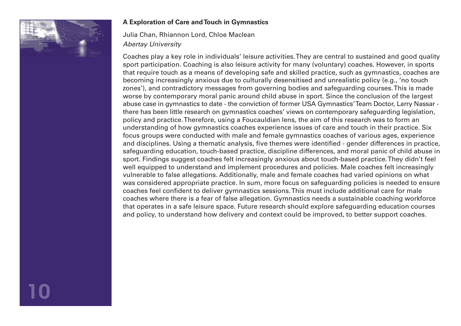

#### **A Exploration of Care and Touch in Gymnastics**

Julia Chan, Rhiannon Lord, Chloe Maclean *Abertay University* 

Coaches play a key role in individuals' leisure activities. They are central to sustained and good quality sport participation. Coaching is also leisure activity for many (voluntary) coaches. However, in sports that require touch as a means of developing safe and skilled practice, such as gymnastics, coaches are becoming increasingly anxious due to culturally desensitised and unrealistic policy (e.g., 'no touch zones'), and contradictory messages from governing bodies and safeguarding courses. This is made worse by contemporary moral panic around child abuse in sport. Since the conclusion of the largest abuse case in gymnastics to date - the conviction of former USA Gymnastics' Team Doctor, Larry Nassar there has been little research on gymnastics coaches' views on contemporary safeguarding legislation, policy and practice. Therefore, using a Foucauldian lens, the aim of this research was to form an understanding of how gymnastics coaches experience issues of care and touch in their practice. Six focus groups were conducted with male and female gymnastics coaches of various ages, experience and disciplines. Using a thematic analysis, five themes were identified - gender differences in practice, safeguarding education, touch-based practice, discipline differences, and moral panic of child abuse in sport. Findings suggest coaches felt increasingly anxious about touch-based practice. They didn't feel well equipped to understand and implement procedures and policies. Male coaches felt increasingly vulnerable to false allegations. Additionally, male and female coaches had varied opinions on what was considered appropriate practice. In sum, more focus on safeguarding policies is needed to ensure coaches feel confident to deliver gymnastics sessions. This must include additional care for male coaches where there is a fear of false allegation. Gymnastics needs a sustainable coaching workforce that operates in a safe leisure space. Future research should explore safeguarding education courses and policy, to understand how delivery and context could be improved, to better support coaches.

10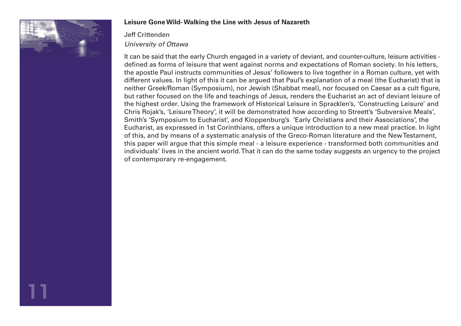

11

#### **Leisure Gone Wild- Walking the Line with Jesus of Nazareth**

# Jeff Crittenden *University of Ottawa*

It can be said that the early Church engaged in a variety of deviant, and counter-culture, leisure activities defined as forms of leisure that went against norms and expectations of Roman society. In his letters, the apostle Paul instructs communities of Jesus' followers to live together in a Roman culture, yet with different values. In light of this it can be argued that Paul's explanation of a meal (the Eucharist) that is neither Greek/Roman (Symposium), nor Jewish (Shabbat meal), nor focused on Caesar as a cult figure, but rather focused on the life and teachings of Jesus, renders the Eucharist an act of deviant leisure of the highest order. Using the framework of Historical Leisure in Spracklen's, 'Constructing Leisure' and Chris Rojak's, 'Leisure Theory', it will be demonstrated how according to Streett's 'Subversive Meals', Smith's 'Symposium to Eucharist', and Kloppenburg's 'Early Christians and their Associations', the Eucharist, as expressed in 1st Corinthians, offers a unique introduction to a new meal practice. In light of this, and by means of a systematic analysis of the Greco-Roman literature and the New Testament, this paper will argue that this simple meal - a leisure experience - transformed both communities and individuals' lives in the ancient world. That it can do the same today suggests an urgency to the project of contemporary re-engagement.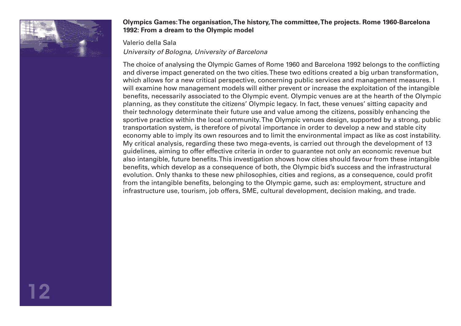

#### **Olympics Games: The organisation, The history, The committee, The projects. Rome 1960-Barcelona 1992: From a dream to the Olympic model**

#### Valerio della Sala

*University of Bologna, University of Barcelona* 

The choice of analysing the Olympic Games of Rome 1960 and Barcelona 1992 belongs to the conflicting and diverse impact generated on the two cities. These two editions created a big urban transformation, which allows for a new critical perspective, concerning public services and management measures. I will examine how management models will either prevent or increase the exploitation of the intangible benefits, necessarily associated to the Olympic event. Olympic venues are at the hearth of the Olympic planning, as they constitute the citizens' Olympic legacy. In fact, these venues' sitting capacity and their technology determinate their future use and value among the citizens, possibly enhancing the sportive practice within the local community. The Olympic venues design, supported by a strong, public transportation system, is therefore of pivotal importance in order to develop a new and stable city economy able to imply its own resources and to limit the environmental impact as like as cost instability. My critical analysis, regarding these two mega-events, is carried out through the development of 13 guidelines, aiming to offer effective criteria in order to guarantee not only an economic revenue but also intangible, future benefits. This investigation shows how cities should favour from these intangible benefits, which develop as a consequence of both, the Olympic bid's success and the infrastructural evolution. Only thanks to these new philosophies, cities and regions, as a consequence, could profit from the intangible benefits, belonging to the Olympic game, such as: employment, structure and infrastructure use, tourism, job offers, SME, cultural development, decision making, and trade.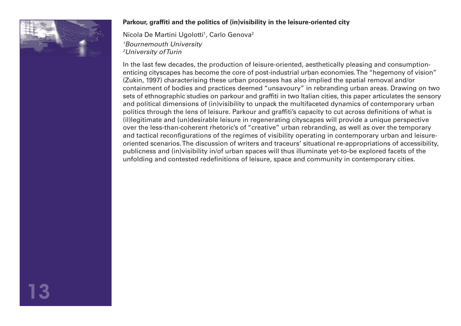

#### **Parkour, graffiti and the politics of (in)visibility in the leisure-oriented city**

Nicola De Martini Ugolotti<sup>1</sup>, Carlo Genova<sup>2</sup> *1 Bournemouth University 2 University of Turin*

In the last few decades, the production of leisure-oriented, aesthetically pleasing and consumptionenticing cityscapes has become the core of post-industrial urban economies. The "hegemony of vision" (Zukin, 1997) characterising these urban processes has also implied the spatial removal and/or containment of bodies and practices deemed "unsavoury" in rebranding urban areas. Drawing on two sets of ethnographic studies on parkour and graffiti in two Italian cities, this paper articulates the sensory and political dimensions of (in)visibility to unpack the multifaceted dynamics of contemporary urban politics through the lens of leisure. Parkour and graffiti's capacity to cut across definitions of what is (il)legitimate and (un)desirable leisure in regenerating cityscapes will provide a unique perspective over the less-than-coherent rhetoric's of "creative" urban rebranding, as well as over the temporary and tactical reconfigurations of the regimes of visibility operating in contemporary urban and leisureoriented scenarios. The discussion of writers and traceurs' situational re-appropriations of accessibility, publicness and (in)visibility in/of urban spaces will thus illuminate yet-to-be explored facets of the unfolding and contested redefinitions of leisure, space and community in contemporary cities.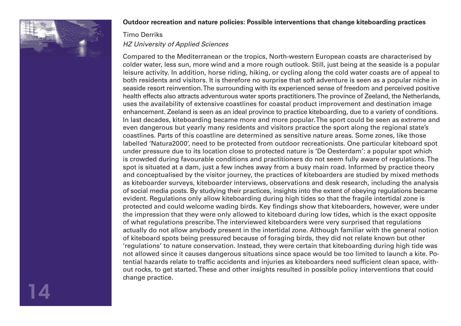

#### **Outdoor recreation and nature policies: Possible interventions that change kiteboarding practices**

## Timo Derriks *HZ University of Applied Sciences*

Compared to the Mediterranean or the tropics, North-western European coasts are characterised by colder water, less sun, more wind and a more rough outlook. Still, just being at the seaside is a popular leisure activity. In addition, horse riding, hiking, or cycling along the cold water coasts are of appeal to both residents and visitors. It is therefore no surprise that soft adventure is seen as a popular niche in seaside resort reinvention. The surrounding with its experienced sense of freedom and perceived positive health effects also attracts adventurous water sports practitioners. The province of Zeeland, the Netherlands, uses the availability of extensive coastlines for coastal product improvement and destination image enhancement. Zeeland is seen as an ideal province to practice kiteboarding, due to a variety of conditions. In last decades, kiteboarding became more and more popular. The sport could be seen as extreme and even dangerous but yearly many residents and visitors practice the sport along the regional state's coastlines. Parts of this coastline are determined as sensitive nature areas. Some zones, like those labelled 'Natura2000', need to be protected from outdoor recreationists. One particular kiteboard spot under pressure due to its location close to protected nature is 'De Oesterdam': a popular spot which is crowded during favourable conditions and practitioners do not seem fully aware of regulations. The spot is situated at a dam, just a few inches away from a busy main road. Informed by practice theory and conceptualised by the visitor journey, the practices of kiteboarders are studied by mixed methods as kiteboarder surveys, kiteboarder interviews, observations and desk research, including the analysis of social media posts. By studying their practices, insights into the extent of obeying regulations became evident. Regulations only allow kiteboarding during high tides so that the fragile intertidal zone is protected and could welcome wading birds. Key findings show that kiteboarders, however, were under the impression that they were only allowed to kiteboard during low tides, which is the exact opposite of what regulations prescribe. The interviewed kiteboarders were very surprised that regulations actually do not allow anybody present in the intertidal zone. Although familiar with the general notion of kiteboard spots being pressured because of foraging birds, they did not relate known but other 'regulations' to nature conservation. Instead, they were certain that kiteboarding during high tide was not allowed since it causes dangerous situations since space would be too limited to launch a kite. Potential hazards relate to traffic accidents and injuries as kiteboarders need sufficient clean space, without rocks, to get started. These and other insights resulted in possible policy interventions that could change practice.

14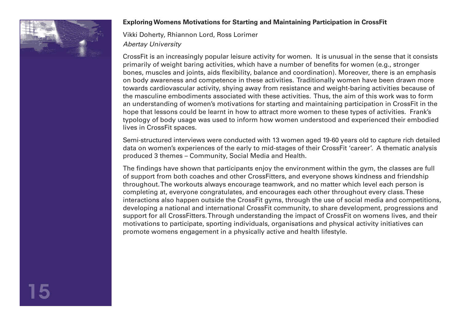

#### **Exploring Womens Motivations for Starting and Maintaining Participation in CrossFit**

Vikki Doherty, Rhiannon Lord, Ross Lorimer *Abertay University*

CrossFit is an increasingly popular leisure activity for women. It is unusual in the sense that it consists primarily of weight baring activities, which have a number of benefits for women (e.g., stronger bones, muscles and joints, aids flexibility, balance and coordination). Moreover, there is an emphasis on body awareness and competence in these activities. Traditionally women have been drawn more towards cardiovascular activity, shying away from resistance and weight-baring activities because of the masculine embodiments associated with these activities. Thus, the aim of this work was to form an understanding of women's motivations for starting and maintaining participation in CrossFit in the hope that lessons could be learnt in how to attract more women to these types of activities. Frank's typology of body usage was used to inform how women understood and experienced their embodied lives in CrossFit spaces.

Semi-structured interviews were conducted with 13 women aged 19-60 years old to capture rich detailed data on women's experiences of the early to mid-stages of their CrossFit 'career'. A thematic analysis produced 3 themes – Community, Social Media and Health.

The findings have shown that participants enjoy the environment within the gym, the classes are full of support from both coaches and other CrossFitters, and everyone shows kindness and friendship throughout. The workouts always encourage teamwork, and no matter which level each person is completing at, everyone congratulates, and encourages each other throughout every class. These interactions also happen outside the CrossFit gyms, through the use of social media and competitions, developing a national and international CrossFit community, to share development, progressions and support for all CrossFitters. Through understanding the impact of CrossFit on womens lives, and their motivations to participate, sporting individuals, organisations and physical activity initiatives can promote womens engagement in a physically active and health lifestyle.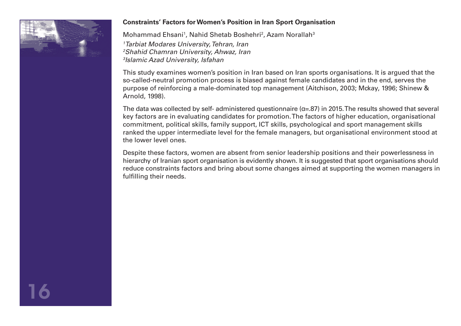

#### **Constraints' Factors for Women's Position in Iran Sport Organisation**

Mohammad Ehsani<sup>1</sup>, Nahid Shetab Boshehri<sup>2</sup>, Azam Norallah<sup>3</sup> *Tarbiat Modares University, Tehran, Iran Shahid Chamran University, Ahwaz, Iran Islamic Azad University, Isfahan*

This study examines women's position in Iran based on Iran sports organisations. It is argued that the so-called-neutral promotion process is biased against female candidates and in the end, serves the purpose of reinforcing a male-dominated top management (Aitchison, 2003; Mckay, 1996; Shinew & Arnold, 1998).

The data was collected by self- administered questionnaire ( $\alpha$ =.87) in 2015. The results showed that several key factors are in evaluating candidates for promotion. The factors of higher education, organisational commitment, political skills, family support, ICT skills, psychological and sport management skills ranked the upper intermediate level for the female managers, but organisational environment stood at the lower level ones.

Despite these factors, women are absent from senior leadership positions and their powerlessness in hierarchy of Iranian sport organisation is evidently shown. It is suggested that sport organisations should reduce constraints factors and bring about some changes aimed at supporting the women managers in fulfilling their needs.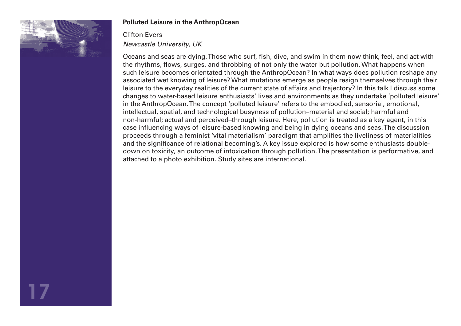

#### **Polluted Leisure in the AnthropOcean**

## Clifton Evers *Newcastle University, UK*

Oceans and seas are dying. Those who surf, fish, dive, and swim in them now think, feel, and act with the rhythms, flows, surges, and throbbing of not only the water but pollution. What happens when such leisure becomes orientated through the AnthropOcean? In what ways does pollution reshape any associated wet knowing of leisure? What mutations emerge as people resign themselves through their leisure to the everyday realities of the current state of affairs and trajectory? In this talk I discuss some changes to water-based leisure enthusiasts' lives and environments as they undertake 'polluted leisure' in the AnthropOcean. The concept 'polluted leisure' refers to the embodied, sensorial, emotional, intellectual, spatial, and technological busyness of pollution–material and social; harmful and non-harmful; actual and perceived–through leisure. Here, pollution is treated as a key agent, in this case influencing ways of leisure-based knowing and being in dying oceans and seas. The discussion proceeds through a feminist 'vital materialism' paradigm that amplifies the liveliness of materialities and the significance of relational becoming's. A key issue explored is how some enthusiasts doubledown on toxicity, an outcome of intoxication through pollution. The presentation is performative, and attached to a photo exhibition. Study sites are international.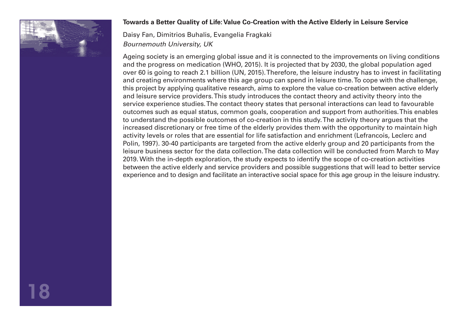

#### **Towards a Better Quality of Life: Value Co-Creation with the Active Elderly in Leisure Service**

Daisy Fan, Dimitrios Buhalis, Evangelia Fragkaki *Bournemouth University, UK*

Ageing society is an emerging global issue and it is connected to the improvements on living conditions and the progress on medication (WHO, 2015). It is projected that by 2030, the global population aged over 60 is going to reach 2.1 billion (UN, 2015). Therefore, the leisure industry has to invest in facilitating and creating environments where this age group can spend in leisure time. To cope with the challenge, this project by applying qualitative research, aims to explore the value co-creation between active elderly and leisure service providers. This study introduces the contact theory and activity theory into the service experience studies. The contact theory states that personal interactions can lead to favourable outcomes such as equal status, common goals, cooperation and support from authorities. This enables to understand the possible outcomes of co-creation in this study. The activity theory argues that the increased discretionary or free time of the elderly provides them with the opportunity to maintain high activity levels or roles that are essential for life satisfaction and enrichment (Lefrancois, Leclerc and Polin, 1997). 30-40 participants are targeted from the active elderly group and 20 participants from the leisure business sector for the data collection. The data collection will be conducted from March to May 2019. With the in-depth exploration, the study expects to identify the scope of co-creation activities between the active elderly and service providers and possible suggestions that will lead to better service experience and to design and facilitate an interactive social space for this age group in the leisure industry.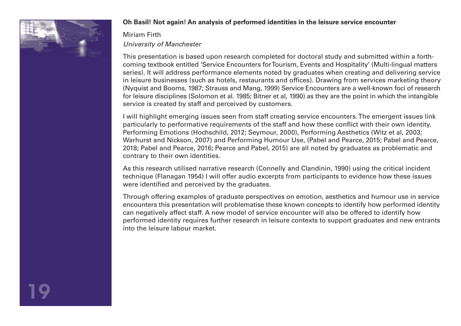

#### **Oh Basil! Not again! An analysis of performed identities in the leisure service encounter**

# Miriam Firth *University of Manchester*

This presentation is based upon research completed for doctoral study and submitted within a forthcoming textbook entitled 'Service Encounters for Tourism, Events and Hospitality' (Multi-lingual matters series). It will address performance elements noted by graduates when creating and delivering service in leisure businesses (such as hotels, restaurants and offices). Drawing from services marketing theory (Nyquist and Booms, 1987; Strauss and Mang, 1999) Service Encounters are a well-known foci of research for leisure disciplines (Solomon et al. 1985; Bitner et al, 1990) as they are the point in which the intangible service is created by staff and perceived by customers.

I will highlight emerging issues seen from staff creating service encounters. The emergent issues link particularly to performative requirements of the staff and how these conflict with their own identity. Performing Emotions (Hochschild, 2012; Seymour, 2000), Performing Aesthetics (Witz et al, 2003; Warhurst and Nickson, 2007) and Performing Humour Use, (Pabel and Pearce, 2015; Pabel and Pearce, 2018; Pabel and Pearce, 2016; Pearce and Pabel, 2015) are all noted by graduates as problematic and contrary to their own identities.

As this research utilised narrative research (Connelly and Clandinin, 1990) using the critical incident technique (Flanagan 1954) I will offer audio excerpts from participants to evidence how these issues were identified and perceived by the graduates.

Through offering examples of graduate perspectives on emotion, aesthetics and humour use in service encounters this presentation will problematise these known concepts to identify how performed identity can negatively affect staff. A new model of service encounter will also be offered to identify how performed identity requires further research in leisure contexts to support graduates and new entrants into the leisure labour market.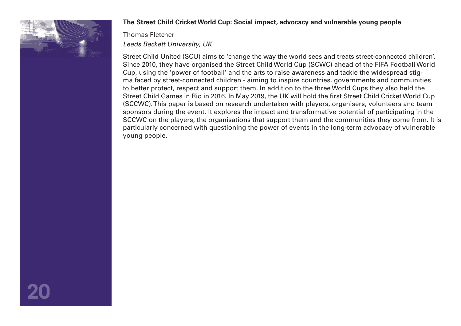

20

#### **The Street Child Cricket World Cup: Social impact, advocacy and vulnerable young people**

# Thomas Fletcher *Leeds Beckett University, UK*

Street Child United (SCU) aims to 'change the way the world sees and treats street-connected children'. Since 2010, they have organised the Street Child World Cup (SCWC) ahead of the FIFA Football World Cup, using the 'power of football' and the arts to raise awareness and tackle the widespread stigma faced by street-connected children - aiming to inspire countries, governments and communities to better protect, respect and support them. In addition to the three World Cups they also held the Street Child Games in Rio in 2016. In May 2019, the UK will hold the first Street Child Cricket World Cup (SCCWC). This paper is based on research undertaken with players, organisers, volunteers and team sponsors during the event. It explores the impact and transformative potential of participating in the SCCWC on the players, the organisations that support them and the communities they come from. It is particularly concerned with questioning the power of events in the long-term advocacy of vulnerable young people.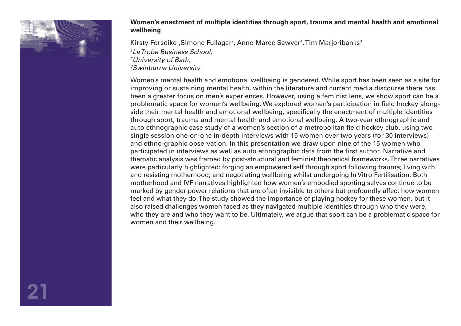

#### **Women's enactment of multiple identities through sport, trauma and mental health and emotional wellbeing**

Kirsty Forsdike<sup>1</sup>,Simone Fullagar<sup>2</sup>, Anne-Maree Sawyer<sup>1</sup>,Tim Marjoribanks<sup>3</sup> *La Trobe Business School, University of Bath, Swinburne University*

Women's mental health and emotional wellbeing is gendered. While sport has been seen as a site for improving or sustaining mental health, within the literature and current media discourse there has been a greater focus on men's experiences. However, using a feminist lens, we show sport can be a problematic space for women's wellbeing. We explored women's participation in field hockey alongside their mental health and emotional wellbeing, specifically the enactment of multiple identities through sport, trauma and mental health and emotional wellbeing. A two-year ethnographic and auto ethnographic case study of a women's section of a metropolitan field hockey club, using two single session one-on-one in-depth interviews with 15 women over two years (for 30 interviews) and ethno-graphic observation. In this presentation we draw upon nine of the 15 women who participated in interviews as well as auto ethnographic data from the first author. Narrative and thematic analysis was framed by post-structural and feminist theoretical frameworks. Three narratives were particularly highlighted: forging an empowered self through sport following trauma; living with and resisting motherhood; and negotiating wellbeing whilst undergoing In Vitro Fertilisation. Both motherhood and IVF narratives highlighted how women's embodied sporting selves continue to be marked by gender power relations that are often invisible to others but profoundly affect how women feel and what they do. The study showed the importance of playing hockey for these women, but it also raised challenges women faced as they navigated multiple identities through who they were, who they are and who they want to be. Ultimately, we argue that sport can be a problematic space for women and their wellbeing.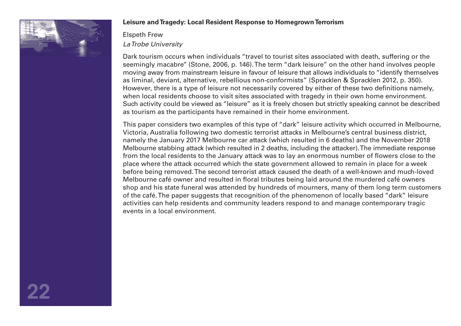

#### **Leisure and Tragedy: Local Resident Response to Homegrown Terrorism**

# Elspeth Frew *La Trobe University*

Dark tourism occurs when individuals "travel to tourist sites associated with death, suffering or the seemingly macabre'' (Stone, 2006, p. 146). The term "dark leisure" on the other hand involves people moving away from mainstream leisure in favour of leisure that allows individuals to "identify themselves as liminal, deviant, alternative, rebellious non-conformists" (Spracklen & Spracklen 2012, p. 350). However, there is a type of leisure not necessarily covered by either of these two definitions namely, when local residents choose to visit sites associated with tragedy in their own home environment. Such activity could be viewed as "leisure" as it is freely chosen but strictly speaking cannot be described as tourism as the participants have remained in their home environment.

This paper considers two examples of this type of "dark" leisure activity which occurred in Melbourne, Victoria, Australia following two domestic terrorist attacks in Melbourne's central business district, namely the January 2017 Melbourne car attack (which resulted in 6 deaths) and the November 2018 Melbourne stabbing attack (which resulted in 2 deaths, including the attacker). The immediate response from the local residents to the January attack was to lay an enormous number of flowers close to the place where the attack occurred which the state government allowed to remain in place for a week before being removed. The second terrorist attack caused the death of a well-known and much-loved Melbourne café owner and resulted in floral tributes being laid around the murdered café owners shop and his state funeral was attended by hundreds of mourners, many of them long term customers of the café. The paper suggests that recognition of the phenomenon of locally based "dark" leisure activities can help residents and community leaders respond to and manage contemporary tragic events in a local environment.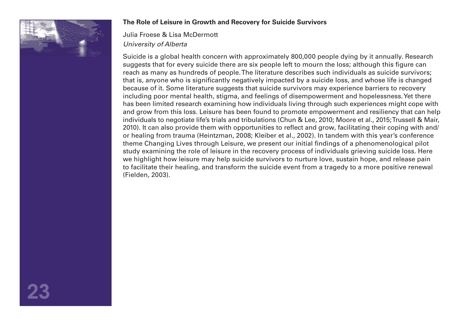

#### **The Role of Leisure in Growth and Recovery for Suicide Survivors**

Julia Froese & Lisa McDermott *University of Alberta*

Suicide is a global health concern with approximately 800,000 people dying by it annually. Research suggests that for every suicide there are six people left to mourn the loss; although this figure can reach as many as hundreds of people. The literature describes such individuals as suicide survivors; that is, anyone who is significantly negatively impacted by a suicide loss, and whose life is changed because of it. Some literature suggests that suicide survivors may experience barriers to recovery including poor mental health, stigma, and feelings of disempowerment and hopelessness. Yet there has been limited research examining how individuals living through such experiences might cope with and grow from this loss. Leisure has been found to promote empowerment and resiliency that can help individuals to negotiate life's trials and tribulations (Chun & Lee, 2010; Moore et al., 2015; Trussell & Mair, 2010). It can also provide them with opportunities to reflect and grow, facilitating their coping with and/ or healing from trauma (Heintzman, 2008; Kleiber et al., 2002). In tandem with this year's conference theme Changing Lives through Leisure, we present our initial findings of a phenomenological pilot study examining the role of leisure in the recovery process of individuals grieving suicide loss. Here we highlight how leisure may help suicide survivors to nurture love, sustain hope, and release pain to facilitate their healing, and transform the suicide event from a tragedy to a more positive renewal (Fielden, 2003).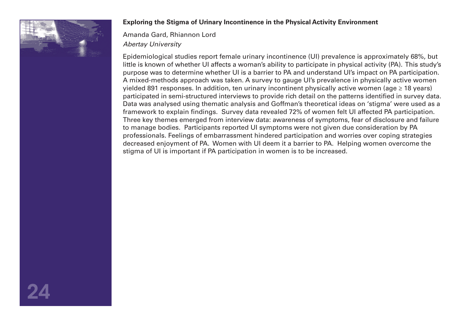

#### **Exploring the Stigma of Urinary Incontinence in the Physical Activity Environment**

Amanda Gard, Rhiannon Lord *Abertay University*

Epidemiological studies report female urinary incontinence (UI) prevalence is approximately 68%, but little is known of whether UI affects a woman's ability to participate in physical activity (PA). This study's purpose was to determine whether UI is a barrier to PA and understand UI's impact on PA participation. A mixed-methods approach was taken. A survey to gauge UI's prevalence in physically active women yielded 891 responses. In addition, ten urinary incontinent physically active women (age ≥ 18 years) participated in semi-structured interviews to provide rich detail on the patterns identified in survey data. Data was analysed using thematic analysis and Goffman's theoretical ideas on 'stigma' were used as a framework to explain findings. Survey data revealed 72% of women felt UI affected PA participation. Three key themes emerged from interview data: awareness of symptoms, fear of disclosure and failure to manage bodies. Participants reported UI symptoms were not given due consideration by PA professionals. Feelings of embarrassment hindered participation and worries over coping strategies decreased enjoyment of PA. Women with UI deem it a barrier to PA. Helping women overcome the stigma of UI is important if PA participation in women is to be increased.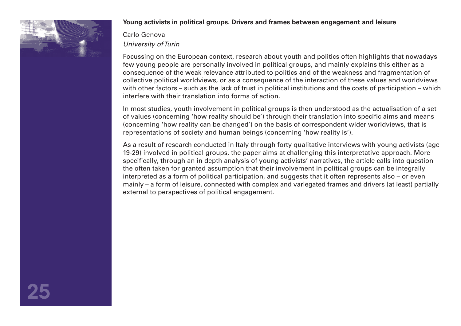

#### **Young activists in political groups. Drivers and frames between engagement and leisure**

Carlo Genova *University of Turin*

Focussing on the European context, research about youth and politics often highlights that nowadays few young people are personally involved in political groups, and mainly explains this either as a consequence of the weak relevance attributed to politics and of the weakness and fragmentation of collective political worldviews, or as a consequence of the interaction of these values and worldviews with other factors – such as the lack of trust in political institutions and the costs of participation – which interfere with their translation into forms of action.

In most studies, youth involvement in political groups is then understood as the actualisation of a set of values (concerning 'how reality should be') through their translation into specific aims and means (concerning 'how reality can be changed') on the basis of correspondent wider worldviews, that is representations of society and human beings (concerning 'how reality is').

As a result of research conducted in Italy through forty qualitative interviews with young activists (age 19-29) involved in political groups, the paper aims at challenging this interpretative approach. More specifically, through an in depth analysis of young activists' narratives, the article calls into question the often taken for granted assumption that their involvement in political groups can be integrally interpreted as a form of political participation, and suggests that it often represents also – or even mainly – a form of leisure, connected with complex and variegated frames and drivers (at least) partially external to perspectives of political engagement.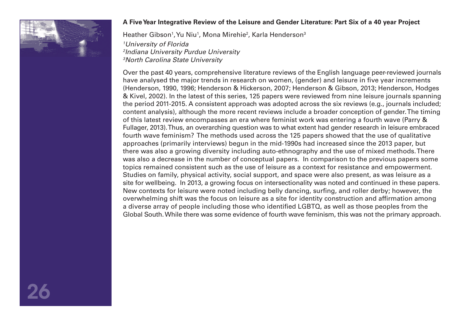

#### **A Five Year Integrative Review of the Leisure and Gender Literature: Part Six of a 40 year Project**

Heather Gibson<sup>1</sup>, Yu Niu<sup>1</sup>, Mona Mirehie<sup>2</sup>, Karla Henderson<sup>3</sup>

*1 University of Florida 2 Indiana University Purdue University 3 North Carolina State University* 

Over the past 40 years, comprehensive literature reviews of the English language peer-reviewed journals have analysed the major trends in research on women, (gender) and leisure in five year increments (Henderson, 1990, 1996; Henderson & Hickerson, 2007; Henderson & Gibson, 2013; Henderson, Hodges & Kivel, 2002). In the latest of this series, 125 papers were reviewed from nine leisure journals spanning the period 2011-2015. A consistent approach was adopted across the six reviews (e.g., journals included; content analysis), although the more recent reviews include a broader conception of gender. The timing of this latest review encompasses an era where feminist work was entering a fourth wave (Parry & Fullager, 2013). Thus, an overarching question was to what extent had gender research in leisure embraced fourth wave feminism? The methods used across the 125 papers showed that the use of qualitative approaches (primarily interviews) begun in the mid-1990s had increased since the 2013 paper, but there was also a growing diversity including auto-ethnography and the use of mixed methods. There was also a decrease in the number of conceptual papers. In comparison to the previous papers some topics remained consistent such as the use of leisure as a context for resistance and empowerment. Studies on family, physical activity, social support, and space were also present, as was leisure as a site for wellbeing. In 2013, a growing focus on intersectionality was noted and continued in these papers. New contexts for leisure were noted including belly dancing, surfing, and roller derby; however, the overwhelming shift was the focus on leisure as a site for identity construction and affirmation among a diverse array of people including those who identified LGBTQ, as well as those peoples from the Global South. While there was some evidence of fourth wave feminism, this was not the primary approach.

26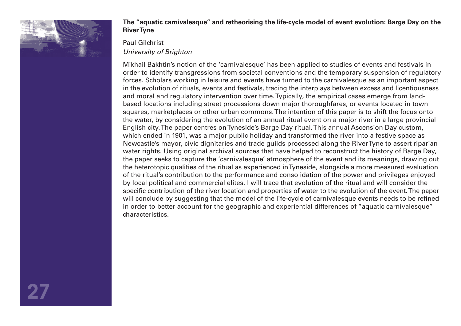

#### **The "aquatic carnivalesque" and retheorising the life-cycle model of event evolution: Barge Day on the River Tyne**

Paul Gilchrist

*University of Brighton*

Mikhail Bakhtin's notion of the 'carnivalesque' has been applied to studies of events and festivals in order to identify transgressions from societal conventions and the temporary suspension of regulatory forces. Scholars working in leisure and events have turned to the carnivalesque as an important aspect in the evolution of rituals, events and festivals, tracing the interplays between excess and licentiousness and moral and regulatory intervention over time. Typically, the empirical cases emerge from landbased locations including street processions down major thoroughfares, or events located in town squares, marketplaces or other urban commons. The intention of this paper is to shift the focus onto the water, by considering the evolution of an annual ritual event on a major river in a large provincial English city. The paper centres on Tyneside's Barge Day ritual. This annual Ascension Day custom, which ended in 1901, was a major public holiday and transformed the river into a festive space as Newcastle's mayor, civic dignitaries and trade guilds processed along the River Tyne to assert riparian water rights. Using original archival sources that have helped to reconstruct the history of Barge Day, the paper seeks to capture the 'carnivalesque' atmosphere of the event and its meanings, drawing out the heterotopic qualities of the ritual as experienced in Tyneside, alongside a more measured evaluation of the ritual's contribution to the performance and consolidation of the power and privileges enjoyed by local political and commercial elites. I will trace that evolution of the ritual and will consider the specific contribution of the river location and properties of water to the evolution of the event. The paper will conclude by suggesting that the model of the life-cycle of carnivalesque events needs to be refined in order to better account for the geographic and experiential differences of "aquatic carnivalesque" characteristics.

27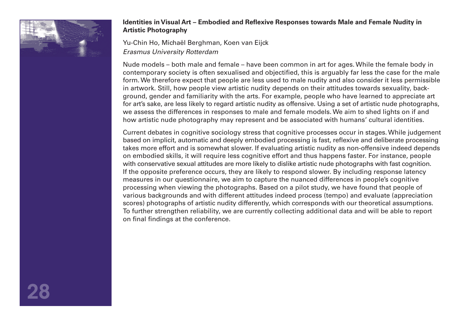

#### **Identities in Visual Art – Embodied and Reflexive Responses towards Male and Female Nudity in Artistic Photography**

Yu-Chin Ho, Michaël Berghman, Koen van Eijck *Erasmus University Rotterdam*

Nude models – both male and female – have been common in art for ages. While the female body in contemporary society is often sexualised and objectified, this is arguably far less the case for the male form. We therefore expect that people are less used to male nudity and also consider it less permissible in artwork. Still, how people view artistic nudity depends on their attitudes towards sexuality, background, gender and familiarity with the arts. For example, people who have learned to appreciate art for art's sake, are less likely to regard artistic nudity as offensive. Using a set of artistic nude photographs, we assess the differences in responses to male and female models. We aim to shed lights on if and how artistic nude photography may represent and be associated with humans' cultural identities.

Current debates in cognitive sociology stress that cognitive processes occur in stages. While judgement based on implicit, automatic and deeply embodied processing is fast, reflexive and deliberate processing takes more effort and is somewhat slower. If evaluating artistic nudity as non-offensive indeed depends on embodied skills, it will require less cognitive effort and thus happens faster. For instance, people with conservative sexual attitudes are more likely to dislike artistic nude photographs with fast cognition. If the opposite preference occurs, they are likely to respond slower. By including response latency measures in our questionnaire, we aim to capture the nuanced differences in people's cognitive processing when viewing the photographs. Based on a pilot study, we have found that people of various backgrounds and with different attitudes indeed process (tempo) and evaluate (appreciation scores) photographs of artistic nudity differently, which corresponds with our theoretical assumptions. To further strengthen reliability, we are currently collecting additional data and will be able to report on final findings at the conference.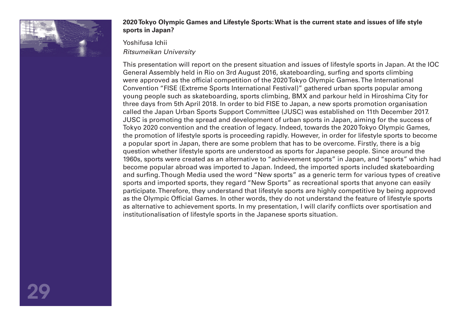

#### **2020 Tokyo Olympic Games and Lifestyle Sports: What is the current state and issues of life style sports in Japan?**

Yoshifusa Ichii *Ritsumeikan University*

This presentation will report on the present situation and issues of lifestyle sports in Japan. At the IOC General Assembly held in Rio on 3rd August 2016, skateboarding, surfing and sports climbing were approved as the official competition of the 2020 Tokyo Olympic Games. The International Convention "FISE (Extreme Sports International Festival)" gathered urban sports popular among young people such as skateboarding, sports climbing, BMX and parkour held in Hiroshima City for three days from 5th April 2018. In order to bid FISE to Japan, a new sports promotion organisation called the Japan Urban Sports Support Committee (JUSC) was established on 11th December 2017. JUSC is promoting the spread and development of urban sports in Japan, aiming for the success of Tokyo 2020 convention and the creation of legacy. Indeed, towards the 2020 Tokyo Olympic Games, the promotion of lifestyle sports is proceeding rapidly. However, in order for lifestyle sports to become a popular sport in Japan, there are some problem that has to be overcome. Firstly, there is a big question whether lifestyle sports are understood as sports for Japanese people. Since around the 1960s, sports were created as an alternative to "achievement sports" in Japan, and "sports" which had become popular abroad was imported to Japan. Indeed, the imported sports included skateboarding and surfing. Though Media used the word "New sports" as a generic term for various types of creative sports and imported sports, they regard "New Sports" as recreational sports that anyone can easily participate. Therefore, they understand that lifestyle sports are highly competitive by being approved as the Olympic Official Games. In other words, they do not understand the feature of lifestyle sports as alternative to achievement sports. In my presentation, I will clarify conflicts over sportisation and institutionalisation of lifestyle sports in the Japanese sports situation.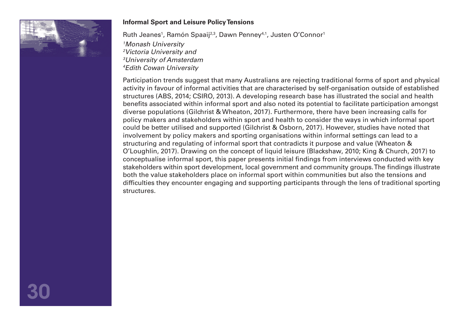

#### **Informal Sport and Leisure Policy Tensions**

Ruth Jeanes<sup>1</sup>, Ramón Spaaij<sup>2,3</sup>, Dawn Penney<sup>4,1</sup>, Justen O'Connor<sup>1</sup>

 *Monash University Victoria University and University of Amsterdam Edith Cowan University* 

Participation trends suggest that many Australians are rejecting traditional forms of sport and physical activity in favour of informal activities that are characterised by self-organisation outside of established structures (ABS, 2014; CSIRO, 2013). A developing research base has illustrated the social and health benefits associated within informal sport and also noted its potential to facilitate participation amongst diverse populations (Gilchrist & Wheaton, 2017). Furthermore, there have been increasing calls for policy makers and stakeholders within sport and health to consider the ways in which informal sport could be better utilised and supported (Gilchrist & Osborn, 2017). However, studies have noted that involvement by policy makers and sporting organisations within informal settings can lead to a structuring and regulating of informal sport that contradicts it purpose and value (Wheaton & O'Loughlin, 2017). Drawing on the concept of liquid leisure (Blackshaw, 2010; King & Church, 2017) to conceptualise informal sport, this paper presents initial findings from interviews conducted with key stakeholders within sport development, local government and community groups. The findings illustrate both the value stakeholders place on informal sport within communities but also the tensions and difficulties they encounter engaging and supporting participants through the lens of traditional sporting structures.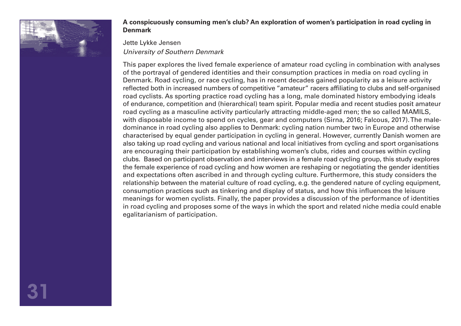

#### **A conspicuously consuming men's club? An exploration of women's participation in road cycling in Denmark**

#### Jette Lykke Jensen

#### *University of Southern Denmark*

This paper explores the lived female experience of amateur road cycling in combination with analyses of the portrayal of gendered identities and their consumption practices in media on road cycling in Denmark. Road cycling, or race cycling, has in recent decades gained popularity as a leisure activity reflected both in increased numbers of competitive "amateur" racers affiliating to clubs and self-organised road cyclists. As sporting practice road cycling has a long, male dominated history embodying ideals of endurance, competition and (hierarchical) team spirit. Popular media and recent studies posit amateur road cycling as a masculine activity particularly attracting middle-aged men; the so called MAMILS, with disposable income to spend on cycles, gear and computers (Sirna, 2016; Falcous, 2017). The maledominance in road cycling also applies to Denmark: cycling nation number two in Europe and otherwise characterised by equal gender participation in cycling in general. However, currently Danish women are also taking up road cycling and various national and local initiatives from cycling and sport organisations are encouraging their participation by establishing women's clubs, rides and courses within cycling clubs. Based on participant observation and interviews in a female road cycling group, this study explores the female experience of road cycling and how women are reshaping or negotiating the gender identities and expectations often ascribed in and through cycling culture. Furthermore, this study considers the relationship between the material culture of road cycling, e.g. the gendered nature of cycling equipment, consumption practices such as tinkering and display of status, and how this influences the leisure meanings for women cyclists. Finally, the paper provides a discussion of the performance of identities in road cycling and proposes some of the ways in which the sport and related niche media could enable egalitarianism of participation.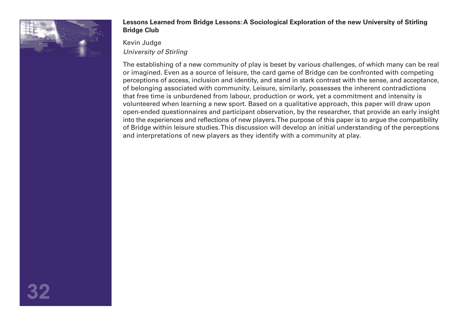

#### **Lessons Learned from Bridge Lessons: A Sociological Exploration of the new University of Stirling Bridge Club**

Kevin Judge *University of Stirling* 

The establishing of a new community of play is beset by various challenges, of which many can be real or imagined. Even as a source of leisure, the card game of Bridge can be confronted with competing perceptions of access, inclusion and identity, and stand in stark contrast with the sense, and acceptance, of belonging associated with community. Leisure, similarly, possesses the inherent contradictions that free time is unburdened from labour, production or work, yet a commitment and intensity is volunteered when learning a new sport. Based on a qualitative approach, this paper will draw upon open-ended questionnaires and participant observation, by the researcher, that provide an early insight into the experiences and reflections of new players. The purpose of this paper is to argue the compatibility of Bridge within leisure studies. This discussion will develop an initial understanding of the perceptions and interpretations of new players as they identify with a community at play.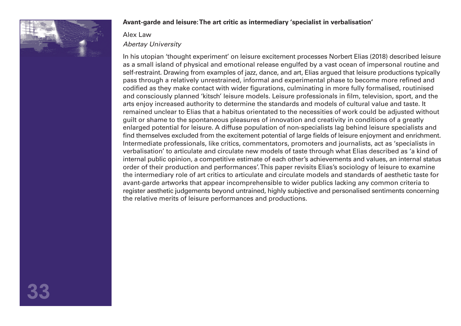

#### **Avant-garde and leisure: The art critic as intermediary 'specialist in verbalisation'**

#### Alex Law *Abertay University*

In his utopian 'thought experiment' on leisure excitement processes Norbert Elias (2018) described leisure as a small island of physical and emotional release engulfed by a vast ocean of impersonal routine and self-restraint. Drawing from examples of jazz, dance, and art, Elias argued that leisure productions typically pass through a relatively unrestrained, informal and experimental phase to become more refined and codified as they make contact with wider figurations, culminating in more fully formalised, routinised and consciously planned 'kitsch' leisure models. Leisure professionals in film, television, sport, and the arts enjoy increased authority to determine the standards and models of cultural value and taste. It remained unclear to Elias that a habitus orientated to the necessities of work could be adjusted without guilt or shame to the spontaneous pleasures of innovation and creativity in conditions of a greatly enlarged potential for leisure. A diffuse population of non-specialists lag behind leisure specialists and find themselves excluded from the excitement potential of large fields of leisure enjoyment and enrichment. Intermediate professionals, like critics, commentators, promoters and journalists, act as 'specialists in verbalisation' to articulate and circulate new models of taste through what Elias described as 'a kind of internal public opinion, a competitive estimate of each other's achievements and values, an internal status order of their production and performances'. This paper revisits Elias's sociology of leisure to examine the intermediary role of art critics to articulate and circulate models and standards of aesthetic taste for avant-garde artworks that appear incomprehensible to wider publics lacking any common criteria to register aesthetic judgements beyond untrained, highly subjective and personalised sentiments concerning the relative merits of leisure performances and productions.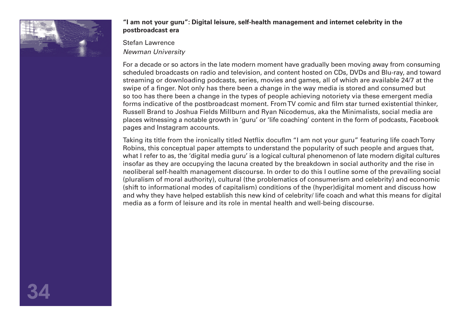

#### **"I am not your guru": Digital leisure, self-health management and internet celebrity in the postbroadcast era**

Stefan Lawrence

*Newman University* 

For a decade or so actors in the late modern moment have gradually been moving away from consuming scheduled broadcasts on radio and television, and content hosted on CDs, DVDs and Blu-ray, and toward streaming or downloading podcasts, series, movies and games, all of which are available 24/7 at the swipe of a finger. Not only has there been a change in the way media is stored and consumed but so too has there been a change in the types of people achieving notoriety via these emergent media forms indicative of the postbroadcast moment. From TV comic and film star turned existential thinker, Russell Brand to Joshua Fields Millburn and Ryan Nicodemus, aka the Minimalists, social media are places witnessing a notable growth in 'guru' or 'life coaching' content in the form of podcasts, Facebook pages and Instagram accounts.

Taking its title from the ironically titled Netflix docuflm "I am not your guru" featuring life coach Tony Robins, this conceptual paper attempts to understand the popularity of such people and argues that, what I refer to as, the 'digital media guru' is a logical cultural phenomenon of late modern digital cultures insofar as they are occupying the lacuna created by the breakdown in social authority and the rise in neoliberal self-health management discourse. In order to do this I outline some of the prevailing social (pluralism of moral authority), cultural (the problematics of consumerism and celebrity) and economic (shift to informational modes of capitalism) conditions of the (hyper)digital moment and discuss how and why they have helped establish this new kind of celebrity/ life coach and what this means for digital media as a form of leisure and its role in mental health and well-being discourse.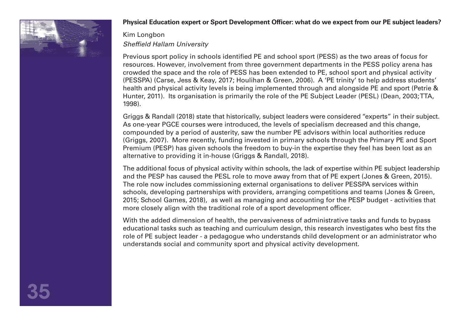

#### **Physical Education expert or Sport Development Officer: what do we expect from our PE subject leaders?**

## Kim Longbon *Sheffield Hallam University*

Previous sport policy in schools identified PE and school sport (PESS) as the two areas of focus for resources. However, involvement from three government departments in the PESS policy arena has crowded the space and the role of PESS has been extended to PE, school sport and physical activity (PESSPA) (Carse, Jess & Keay, 2017; Houlihan & Green, 2006). A 'PE trinity' to help address students' health and physical activity levels is being implemented through and alongside PE and sport (Petrie & Hunter, 2011). Its organisation is primarily the role of the PE Subject Leader (PESL) (Dean, 2003; TTA, 1998).

Griggs & Randall (2018) state that historically, subject leaders were considered "experts" in their subject. As one-year PGCE courses were introduced, the levels of specialism decreased and this change, compounded by a period of austerity, saw the number PE advisors within local authorities reduce (Griggs, 2007). More recently, funding invested in primary schools through the Primary PE and Sport Premium (PESP) has given schools the freedom to buy-in the expertise they feel has been lost as an alternative to providing it in-house (Griggs & Randall, 2018).

The additional focus of physical activity within schools, the lack of expertise within PE subject leadership and the PESP has caused the PESL role to move away from that of PE expert (Jones & Green, 2015). The role now includes commissioning external organisations to deliver PESSPA services within schools, developing partnerships with providers, arranging competitions and teams (Jones & Green, 2015; School Games, 2018), as well as managing and accounting for the PESP budget - activities that more closely align with the traditional role of a sport development officer.

With the added dimension of health, the pervasiveness of administrative tasks and funds to bypass educational tasks such as teaching and curriculum design, this research investigates who best fits the role of PE subject leader - a pedagogue who understands child development or an administrator who understands social and community sport and physical activity development.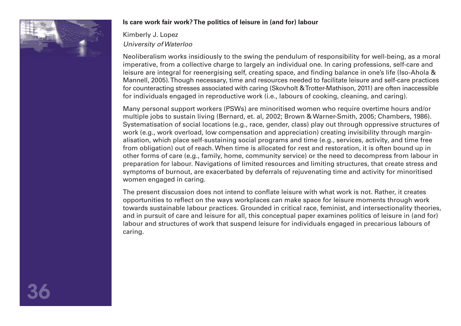

# **Is care work fair work? The politics of leisure in (and for) labour**

Kimberly J. Lopez *University of Waterloo* 

Neoliberalism works insidiously to the swing the pendulum of responsibility for well-being, as a moral imperative, from a collective charge to largely an individual one. In caring professions, self-care and leisure are integral for reenergising self, creating space, and finding balance in one's life (Iso-Ahola & Mannell, 2005). Though necessary, time and resources needed to facilitate leisure and self-care practices for counteracting stresses associated with caring (Skovholt & Trotter-Mathison, 2011) are often inaccessible for individuals engaged in reproductive work (i.e., labours of cooking, cleaning, and caring).

Many personal support workers (PSWs) are minoritised women who require overtime hours and/or multiple jobs to sustain living (Bernard, et. al, 2002; Brown & Warner-Smith, 2005; Chambers, 1986). Systematisation of social locations (e.g., race, gender, class) play out through oppressive structures of work (e.g., work overload, low compensation and appreciation) creating invisibility through marginalisation, which place self-sustaining social programs and time (e.g., services, activity, and time free from obligation) out of reach. When time is allocated for rest and restoration, it is often bound up in other forms of care (e.g., family, home, community service) or the need to decompress from labour in preparation for labour. Navigations of limited resources and limiting structures, that create stress and symptoms of burnout, are exacerbated by deferrals of rejuvenating time and activity for minoritised women engaged in caring.

The present discussion does not intend to conflate leisure with what work is not. Rather, it creates opportunities to reflect on the ways workplaces can make space for leisure moments through work towards sustainable labour practices. Grounded in critical race, feminist, and intersectionality theories, and in pursuit of care and leisure for all, this conceptual paper examines politics of leisure in (and for) labour and structures of work that suspend leisure for individuals engaged in precarious labours of caring.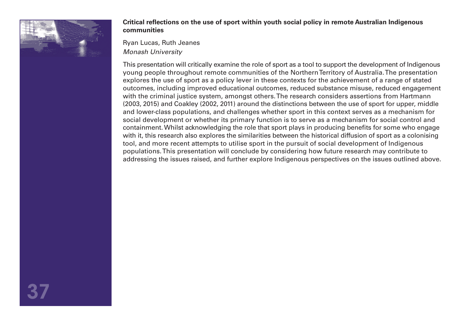

### **Critical reflections on the use of sport within youth social policy in remote Australian Indigenous communities**

Ryan Lucas, Ruth Jeanes *Monash University* 

This presentation will critically examine the role of sport as a tool to support the development of Indigenous young people throughout remote communities of the Northern Territory of Australia. The presentation explores the use of sport as a policy lever in these contexts for the achievement of a range of stated outcomes, including improved educational outcomes, reduced substance misuse, reduced engagement with the criminal justice system, amongst others. The research considers assertions from Hartmann (2003, 2015) and Coakley (2002, 2011) around the distinctions between the use of sport for upper, middle and lower-class populations, and challenges whether sport in this context serves as a mechanism for social development or whether its primary function is to serve as a mechanism for social control and containment. Whilst acknowledging the role that sport plays in producing benefits for some who engage with it, this research also explores the similarities between the historical diffusion of sport as a colonising tool, and more recent attempts to utilise sport in the pursuit of social development of Indigenous populations. This presentation will conclude by considering how future research may contribute to addressing the issues raised, and further explore Indigenous perspectives on the issues outlined above.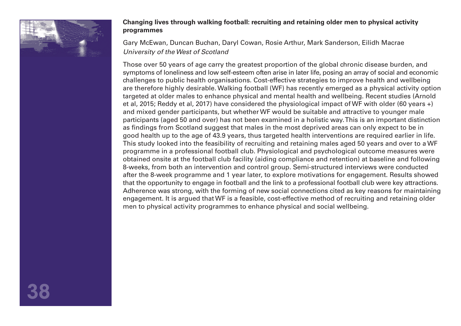

### **Changing lives through walking football: recruiting and retaining older men to physical activity programmes**

Gary McEwan, Duncan Buchan, Daryl Cowan, Rosie Arthur, Mark Sanderson, Eilidh Macrae *University of the West of Scotland* 

Those over 50 years of age carry the greatest proportion of the global chronic disease burden, and symptoms of loneliness and low self-esteem often arise in later life, posing an array of social and economic challenges to public health organisations. Cost-effective strategies to improve health and wellbeing are therefore highly desirable. Walking football (WF) has recently emerged as a physical activity option targeted at older males to enhance physical and mental health and wellbeing. Recent studies (Arnold et al, 2015; Reddy et al, 2017) have considered the physiological impact of WF with older (60 years +) and mixed gender participants, but whether WF would be suitable and attractive to younger male participants (aged 50 and over) has not been examined in a holistic way. This is an important distinction as findings from Scotland suggest that males in the most deprived areas can only expect to be in good health up to the age of 43.9 years, thus targeted health interventions are required earlier in life. This study looked into the feasibility of recruiting and retaining males aged 50 years and over to a WF programme in a professional football club. Physiological and psychological outcome measures were obtained onsite at the football club facility (aiding compliance and retention) at baseline and following 8-weeks, from both an intervention and control group. Semi-structured interviews were conducted after the 8-week programme and 1 year later, to explore motivations for engagement. Results showed that the opportunity to engage in football and the link to a professional football club were key attractions. Adherence was strong, with the forming of new social connections cited as key reasons for maintaining engagement. It is argued that WF is a feasible, cost-effective method of recruiting and retaining older men to physical activity programmes to enhance physical and social wellbeing.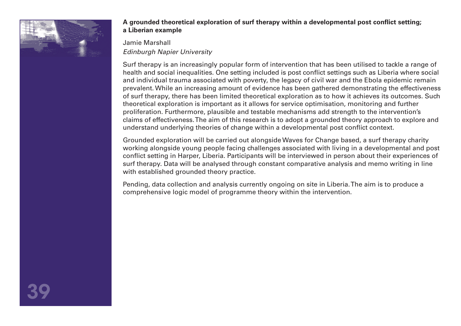

# **A grounded theoretical exploration of surf therapy within a developmental post conflict setting; a Liberian example**

# Jamie Marshall *Edinburgh Napier University*

Surf therapy is an increasingly popular form of intervention that has been utilised to tackle a range of health and social inequalities. One setting included is post conflict settings such as Liberia where social and individual trauma associated with poverty, the legacy of civil war and the Ebola epidemic remain prevalent. While an increasing amount of evidence has been gathered demonstrating the effectiveness of surf therapy, there has been limited theoretical exploration as to how it achieves its outcomes. Such theoretical exploration is important as it allows for service optimisation, monitoring and further proliferation. Furthermore, plausible and testable mechanisms add strength to the intervention's claims of effectiveness. The aim of this research is to adopt a grounded theory approach to explore and understand underlying theories of change within a developmental post conflict context.

Grounded exploration will be carried out alongside Waves for Change based, a surf therapy charity working alongside young people facing challenges associated with living in a developmental and post conflict setting in Harper, Liberia. Participants will be interviewed in person about their experiences of surf therapy. Data will be analysed through constant comparative analysis and memo writing in line with established grounded theory practice.

Pending, data collection and analysis currently ongoing on site in Liberia. The aim is to produce a comprehensive logic model of programme theory within the intervention.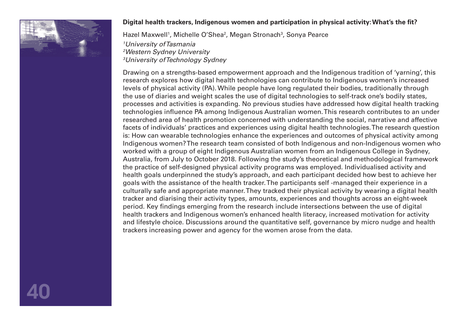

# **Digital health trackers, Indigenous women and participation in physical activity: What's the fit?**

Hazel Maxwell<sup>1</sup>, Michelle O'Shea<sup>2</sup>, Megan Stronach<sup>3</sup>, Sonya Pearce

*1 University of Tasmania 2 Western Sydney University 3 University of Technology Sydney* 

Drawing on a strengths-based empowerment approach and the Indigenous tradition of 'yarning', this research explores how digital health technologies can contribute to Indigenous women's increased levels of physical activity (PA). While people have long regulated their bodies, traditionally through the use of diaries and weight scales the use of digital technologies to self-track one's bodily states, processes and activities is expanding. No previous studies have addressed how digital health tracking technologies influence PA among Indigenous Australian women. This research contributes to an under researched area of health promotion concerned with understanding the social, narrative and affective facets of individuals' practices and experiences using digital health technologies. The research question is: How can wearable technologies enhance the experiences and outcomes of physical activity among Indigenous women? The research team consisted of both Indigenous and non-Indigenous women who worked with a group of eight Indigenous Australian women from an Indigenous College in Sydney, Australia, from July to October 2018. Following the study's theoretical and methodological framework the practice of self-designed physical activity programs was employed. Individualised activity and health goals underpinned the study's approach, and each participant decided how best to achieve her goals with the assistance of the health tracker. The participants self -managed their experience in a culturally safe and appropriate manner. They tracked their physical activity by wearing a digital health tracker and diarising their activity types, amounts, experiences and thoughts across an eight-week period. Key findings emerging from the research include intersections between the use of digital health trackers and Indigenous women's enhanced health literacy, increased motivation for activity and lifestyle choice. Discussions around the quantitative self, governance by micro nudge and health trackers increasing power and agency for the women arose from the data.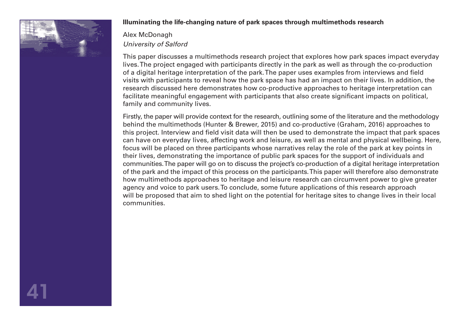

# **Illuminating the life-changing nature of park spaces through multimethods research**

# Alex McDonagh *University of Salford*

This paper discusses a multimethods research project that explores how park spaces impact everyday lives. The project engaged with participants directly in the park as well as through the co-production of a digital heritage interpretation of the park. The paper uses examples from interviews and field visits with participants to reveal how the park space has had an impact on their lives. In addition, the research discussed here demonstrates how co-productive approaches to heritage interpretation can facilitate meaningful engagement with participants that also create significant impacts on political, family and community lives.

Firstly, the paper will provide context for the research, outlining some of the literature and the methodology behind the multimethods (Hunter & Brewer, 2015) and co-productive (Graham, 2016) approaches to this project. Interview and field visit data will then be used to demonstrate the impact that park spaces can have on everyday lives, affecting work and leisure, as well as mental and physical wellbeing. Here, focus will be placed on three participants whose narratives relay the role of the park at key points in their lives, demonstrating the importance of public park spaces for the support of individuals and communities. The paper will go on to discuss the project's co-production of a digital heritage interpretation of the park and the impact of this process on the participants. This paper will therefore also demonstrate how multimethods approaches to heritage and leisure research can circumvent power to give greater agency and voice to park users. To conclude, some future applications of this research approach will be proposed that aim to shed light on the potential for heritage sites to change lives in their local communities.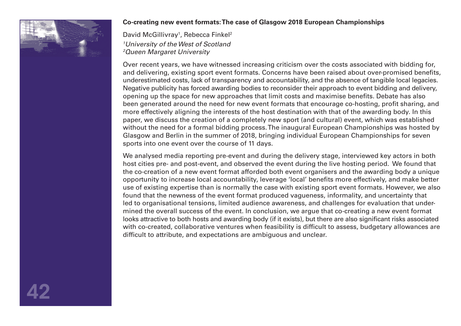

# **Co-creating new event formats: The case of Glasgow 2018 European Championships**

David McGillivray<sup>1</sup>, Rebecca Finkel<sup>2</sup> *1 University of the West of Scotland 2 Queen Margaret University*

Over recent years, we have witnessed increasing criticism over the costs associated with bidding for, and delivering, existing sport event formats. Concerns have been raised about over-promised benefits, underestimated costs, lack of transparency and accountability, and the absence of tangible local legacies. Negative publicity has forced awarding bodies to reconsider their approach to event bidding and delivery, opening up the space for new approaches that limit costs and maximise benefits. Debate has also been generated around the need for new event formats that encourage co-hosting, profit sharing, and more effectively aligning the interests of the host destination with that of the awarding body. In this paper, we discuss the creation of a completely new sport (and cultural) event, which was established without the need for a formal bidding process. The inaugural European Championships was hosted by Glasgow and Berlin in the summer of 2018, bringing individual European Championships for seven sports into one event over the course of 11 days.

We analysed media reporting pre-event and during the delivery stage, interviewed key actors in both host cities pre- and post-event, and observed the event during the live hosting period. We found that the co-creation of a new event format afforded both event organisers and the awarding body a unique opportunity to increase local accountability, leverage 'local' benefits more effectively, and make better use of existing expertise than is normally the case with existing sport event formats. However, we also found that the newness of the event format produced vagueness, informality, and uncertainty that led to organisational tensions, limited audience awareness, and challenges for evaluation that undermined the overall success of the event. In conclusion, we argue that co-creating a new event format looks attractive to both hosts and awarding body (if it exists), but there are also significant risks associated with co-created, collaborative ventures when feasibility is difficult to assess, budgetary allowances are difficult to attribute, and expectations are ambiguous and unclear.

42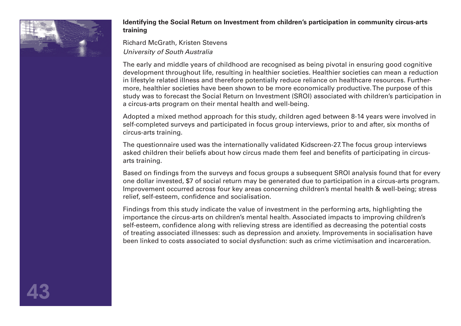

### **Identifying the Social Return on Investment from children's participation in community circus-arts training**

Richard McGrath, Kristen Stevens *University of South Australia* 

The early and middle years of childhood are recognised as being pivotal in ensuring good cognitive development throughout life, resulting in healthier societies. Healthier societies can mean a reduction in lifestyle related illness and therefore potentially reduce reliance on healthcare resources. Furthermore, healthier societies have been shown to be more economically productive. The purpose of this study was to forecast the Social Return on Investment (SROI) associated with children's participation in a circus-arts program on their mental health and well-being.

Adopted a mixed method approach for this study, children aged between 8-14 years were involved in self-completed surveys and participated in focus group interviews, prior to and after, six months of circus-arts training.

The questionnaire used was the internationally validated Kidscreen-27. The focus group interviews asked children their beliefs about how circus made them feel and benefits of participating in circusarts training.

Based on findings from the surveys and focus groups a subsequent SROI analysis found that for every one dollar invested, \$7 of social return may be generated due to participation in a circus-arts program. Improvement occurred across four key areas concerning children's mental health & well-being; stress relief, self-esteem, confidence and socialisation.

Findings from this study indicate the value of investment in the performing arts, highlighting the importance the circus-arts on children's mental health. Associated impacts to improving children's self-esteem, confidence along with relieving stress are identified as decreasing the potential costs of treating associated illnesses: such as depression and anxiety. Improvements in socialisation have been linked to costs associated to social dysfunction: such as crime victimisation and incarceration.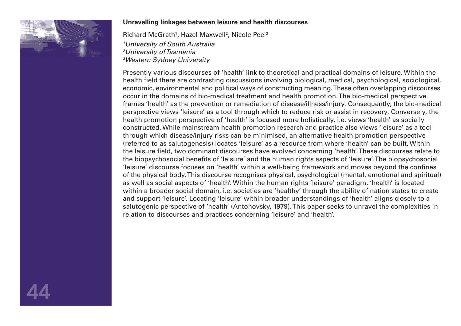

### **Unravelling linkages between leisure and health discourses**

Richard McGrath<sup>1</sup>, Hazel Maxwell<sup>2</sup>, Nicole Peel<sup>3</sup> *University of South Australia University of Tasmania Western Sydney University* 

Presently various discourses of 'health' link to theoretical and practical domains of leisure. Within the health field there are contrasting discussions involving biological, medical, psychological, sociological, economic, environmental and political ways of constructing meaning. These often overlapping discourses occur in the domains of bio-medical treatment and health promotion. The bio-medical perspective frames 'health' as the prevention or remediation of disease/illness/injury. Consequently, the bio-medical perspective views 'leisure' as a tool through which to reduce risk or assist in recovery. Conversely, the health promotion perspective of 'health' is focused more holistically, i.e. views 'health' as socially constructed. While mainstream health promotion research and practice also views 'leisure' as a tool through which disease/injury risks can be minimised, an alternative health promotion perspective (referred to as salutogenesis) locates 'leisure' as a resource from where 'health' can be built. Within the leisure field, two dominant discourses have evolved concerning 'health'. These discourses relate to the biopsychosocial benefits of 'leisure' and the human rights aspects of 'leisure'. The biopsychosocial 'leisure' discourse focuses on 'health' within a well-being framework and moves beyond the confines of the physical body. This discourse recognises physical, psychological (mental, emotional and spiritual) as well as social aspects of 'health'. Within the human rights 'leisure' paradigm, 'health' is located within a broader social domain, i.e. societies are 'healthy' through the ability of nation states to create and support 'leisure'. Locating 'leisure' within broader understandings of 'health' aligns closely to a salutogenic perspective of 'health' (Antonovsky, 1979). This paper seeks to unravel the complexities in relation to discourses and practices concerning 'leisure' and 'health'.

44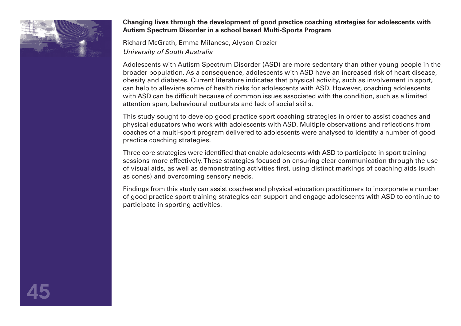

# **Changing lives through the development of good practice coaching strategies for adolescents with Autism Spectrum Disorder in a school based Multi-Sports Program**

Richard McGrath, Emma Milanese, Alyson Crozier *University of South Australia* 

Adolescents with Autism Spectrum Disorder (ASD) are more sedentary than other young people in the broader population. As a consequence, adolescents with ASD have an increased risk of heart disease, obesity and diabetes. Current literature indicates that physical activity, such as involvement in sport, can help to alleviate some of health risks for adolescents with ASD. However, coaching adolescents with ASD can be difficult because of common issues associated with the condition, such as a limited attention span, behavioural outbursts and lack of social skills.

This study sought to develop good practice sport coaching strategies in order to assist coaches and physical educators who work with adolescents with ASD. Multiple observations and reflections from coaches of a multi-sport program delivered to adolescents were analysed to identify a number of good practice coaching strategies.

Three core strategies were identified that enable adolescents with ASD to participate in sport training sessions more effectively. These strategies focused on ensuring clear communication through the use of visual aids, as well as demonstrating activities first, using distinct markings of coaching aids (such as cones) and overcoming sensory needs.

Findings from this study can assist coaches and physical education practitioners to incorporate a number of good practice sport training strategies can support and engage adolescents with ASD to continue to participate in sporting activities.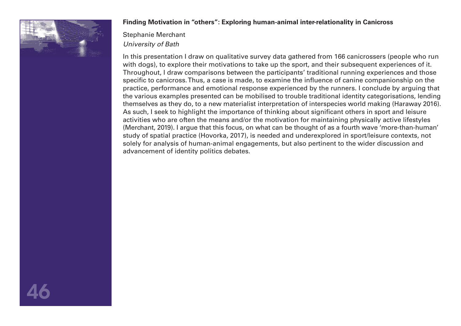

# **Finding Motivation in "others": Exploring human-animal inter-relationality in Canicross**

Stephanie Merchant *University of Bath* 

In this presentation I draw on qualitative survey data gathered from 166 canicrossers (people who run with dogs), to explore their motivations to take up the sport, and their subsequent experiences of it. Throughout, I draw comparisons between the participants' traditional running experiences and those specific to canicross. Thus, a case is made, to examine the influence of canine companionship on the practice, performance and emotional response experienced by the runners. I conclude by arguing that the various examples presented can be mobilised to trouble traditional identity categorisations, lending themselves as they do, to a new materialist interpretation of interspecies world making (Haraway 2016). As such, I seek to highlight the importance of thinking about significant others in sport and leisure activities who are often the means and/or the motivation for maintaining physically active lifestyles (Merchant, 2019). I argue that this focus, on what can be thought of as a fourth wave 'more-than-human' study of spatial practice (Hovorka, 2017), is needed and underexplored in sport/leisure contexts, not solely for analysis of human-animal engagements, but also pertinent to the wider discussion and advancement of identity politics debates.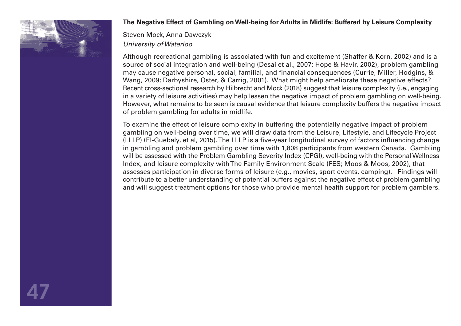

# **The Negative Effect of Gambling on Well-being for Adults in Midlife: Buffered by Leisure Complexity**

Steven Mock, Anna Dawczyk *University of Waterloo* 

Although recreational gambling is associated with fun and excitement (Shaffer & Korn, 2002) and is a source of social integration and well-being (Desai et al., 2007; Hope & Havir, 2002), problem gambling may cause negative personal, social, familial, and financial consequences (Currie, Miller, Hodgins, & Wang, 2009; Darbyshire, Oster, & Carrig, 2001). What might help ameliorate these negative effects? Recent cross-sectional research by Hilbrecht and Mock (2018) suggest that leisure complexity (i.e., engaging in a variety of leisure activities) may help lessen the negative impact of problem gambling on well-being. However, what remains to be seen is causal evidence that leisure complexity buffers the negative impact of problem gambling for adults in midlife.

To examine the effect of leisure complexity in buffering the potentially negative impact of problem gambling on well-being over time, we will draw data from the Leisure, Lifestyle, and Lifecycle Project (LLLP) (El-Guebaly, et al, 2015). The LLLP is a five-year longitudinal survey of factors influencing change in gambling and problem gambling over time with 1,808 participants from western Canada. Gambling will be assessed with the Problem Gambling Severity Index (CPGI), well-being with the Personal Wellness Index, and leisure complexity with The Family Environment Scale (FES; Moos & Moos, 2002), that assesses participation in diverse forms of leisure (e.g., movies, sport events, camping). Findings will contribute to a better understanding of potential buffers against the negative effect of problem gambling and will suggest treatment options for those who provide mental health support for problem gamblers.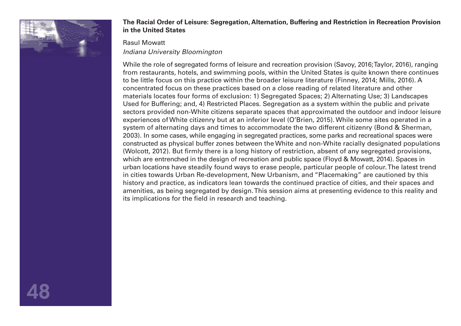

# **The Racial Order of Leisure: Segregation, Alternation, Buffering and Restriction in Recreation Provision in the United States**

### Rasul Mowatt

# *Indiana University Bloomington*

While the role of segregated forms of leisure and recreation provision (Savoy, 2016; Taylor, 2016), ranging from restaurants, hotels, and swimming pools, within the United States is quite known there continues to be little focus on this practice within the broader leisure literature (Finney, 2014; Mills, 2016). A concentrated focus on these practices based on a close reading of related literature and other materials locates four forms of exclusion: 1) Segregated Spaces; 2) Alternating Use; 3) Landscapes Used for Buffering; and, 4) Restricted Places. Segregation as a system within the public and private sectors provided non-White citizens separate spaces that approximated the outdoor and indoor leisure experiences of White citizenry but at an inferior level (O'Brien, 2015). While some sites operated in a system of alternating days and times to accommodate the two different citizenry (Bond & Sherman, 2003). In some cases, while engaging in segregated practices, some parks and recreational spaces were constructed as physical buffer zones between the White and non-White racially designated populations (Wolcott, 2012). But firmly there is a long history of restriction, absent of any segregated provisions, which are entrenched in the design of recreation and public space (Floyd & Mowatt, 2014). Spaces in urban locations have steadily found ways to erase people, particular people of colour. The latest trend in cities towards Urban Re-development, New Urbanism, and "Placemaking" are cautioned by this history and practice, as indicators lean towards the continued practice of cities, and their spaces and amenities, as being segregated by design. This session aims at presenting evidence to this reality and its implications for the field in research and teaching.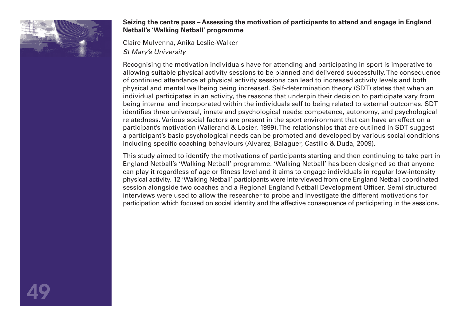

# **Seizing the centre pass – Assessing the motivation of participants to attend and engage in England Netball's 'Walking Netball' programme**

Claire Mulvenna, Anika Leslie-Walker *St Mary's University* 

Recognising the motivation individuals have for attending and participating in sport is imperative to allowing suitable physical activity sessions to be planned and delivered successfully. The consequence of continued attendance at physical activity sessions can lead to increased activity levels and both physical and mental wellbeing being increased. Self-determination theory (SDT) states that when an individual participates in an activity, the reasons that underpin their decision to participate vary from being internal and incorporated within the individuals self to being related to external outcomes. SDT identifies three universal, innate and psychological needs: competence, autonomy, and psychological relatedness. Various social factors are present in the sport environment that can have an effect on a participant's motivation (Vallerand & Losier, 1999). The relationships that are outlined in SDT suggest a participant's basic psychological needs can be promoted and developed by various social conditions including specific coaching behaviours (Alvarez, Balaguer, Castillo & Duda, 2009).

This study aimed to identify the motivations of participants starting and then continuing to take part in England Netball's 'Walking Netball' programme. 'Walking Netball' has been designed so that anyone can play it regardless of age or fitness level and it aims to engage individuals in regular low-intensity physical activity. 12 'Walking Netball' participants were interviewed from one England Netball coordinated session alongside two coaches and a Regional England Netball Development Officer. Semi structured interviews were used to allow the researcher to probe and investigate the different motivations for participation which focused on social identity and the affective consequence of participating in the sessions.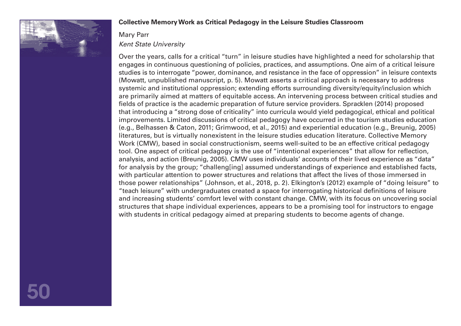

## **Collective Memory Work as Critical Pedagogy in the Leisure Studies Classroom**

# Mary Parr

# *Kent State University*

Over the years, calls for a critical "turn" in leisure studies have highlighted a need for scholarship that engages in continuous questioning of policies, practices, and assumptions. One aim of a critical leisure studies is to interrogate "power, dominance, and resistance in the face of oppression" in leisure contexts (Mowatt, unpublished manuscript, p. 5). Mowatt asserts a critical approach is necessary to address systemic and institutional oppression; extending efforts surrounding diversity/equity/inclusion which are primarily aimed at matters of equitable access. An intervening process between critical studies and fields of practice is the academic preparation of future service providers. Spracklen (2014) proposed that introducing a "strong dose of criticality" into curricula would yield pedagogical, ethical and political improvements. Limited discussions of critical pedagogy have occurred in the tourism studies education (e.g., Belhassen & Caton, 2011; Grimwood, et al., 2015) and experiential education (e.g., Breunig, 2005) literatures, but is virtually nonexistent in the leisure studies education literature. Collective Memory Work (CMW), based in social constructionism, seems well-suited to be an effective critical pedagogy tool. One aspect of critical pedagogy is the use of "intentional experiences" that allow for reflection, analysis, and action (Breunig, 2005). CMW uses individuals' accounts of their lived experience as "data" for analysis by the group; "challeng[ing] assumed understandings of experience and established facts, with particular attention to power structures and relations that affect the lives of those immersed in those power relationships" (Johnson, et al., 2018, p. 2). Elkington's (2012) example of "doing leisure" to "teach leisure" with undergraduates created a space for interrogating historical definitions of leisure and increasing students' comfort level with constant change. CMW, with its focus on uncovering social structures that shape individual experiences, appears to be a promising tool for instructors to engage with students in critical pedagogy aimed at preparing students to become agents of change.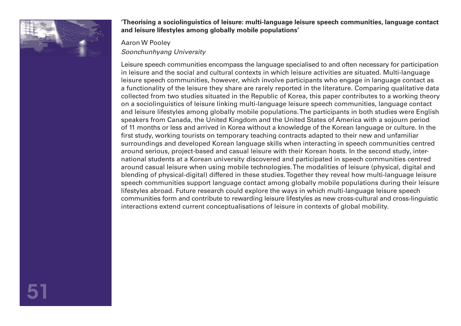

**'Theorising a sociolinguistics of leisure: multi-language leisure speech communities, language contact and leisure lifestyles among globally mobile populations'** 

# Aaron W Pooley *Soonchunhyang University*

Leisure speech communities encompass the language specialised to and often necessary for participation in leisure and the social and cultural contexts in which leisure activities are situated. Multi-language leisure speech communities, however, which involve participants who engage in language contact as a functionality of the leisure they share are rarely reported in the literature. Comparing qualitative data collected from two studies situated in the Republic of Korea, this paper contributes to a working theory on a sociolinguistics of leisure linking multi-language leisure speech communities, language contact and leisure lifestyles among globally mobile populations. The participants in both studies were English speakers from Canada, the United Kingdom and the United States of America with a sojourn period of 11 months or less and arrived in Korea without a knowledge of the Korean language or culture. In the first study, working tourists on temporary teaching contracts adapted to their new and unfamiliar surroundings and developed Korean language skills when interacting in speech communities centred around serious, project-based and casual leisure with their Korean hosts. In the second study, international students at a Korean university discovered and participated in speech communities centred around casual leisure when using mobile technologies. The modalities of leisure (physical, digital and blending of physical-digital) differed in these studies. Together they reveal how multi-language leisure speech communities support language contact among globally mobile populations during their leisure lifestyles abroad. Future research could explore the ways in which multi-language leisure speech communities form and contribute to rewarding leisure lifestyles as new cross-cultural and cross-linguistic interactions extend current conceptualisations of leisure in contexts of global mobility.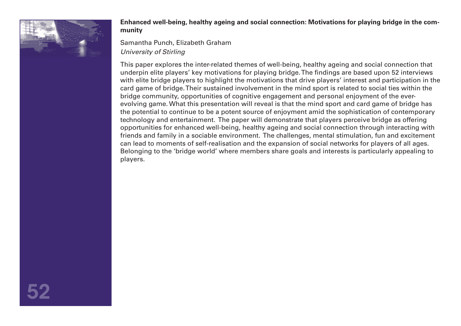

**Enhanced well-being, healthy ageing and social connection: Motivations for playing bridge in the community** 

Samantha Punch, Elizabeth Graham *University of Stirling* 

This paper explores the inter-related themes of well-being, healthy ageing and social connection that underpin elite players' key motivations for playing bridge. The findings are based upon 52 interviews with elite bridge players to highlight the motivations that drive players' interest and participation in the card game of bridge. Their sustained involvement in the mind sport is related to social ties within the bridge community, opportunities of cognitive engagement and personal enjoyment of the everevolving game. What this presentation will reveal is that the mind sport and card game of bridge has the potential to continue to be a potent source of enjoyment amid the sophistication of contemporary technology and entertainment. The paper will demonstrate that players perceive bridge as offering opportunities for enhanced well-being, healthy ageing and social connection through interacting with friends and family in a sociable environment. The challenges, mental stimulation, fun and excitement can lead to moments of self-realisation and the expansion of social networks for players of all ages. Belonging to the 'bridge world' where members share goals and interests is particularly appealing to players.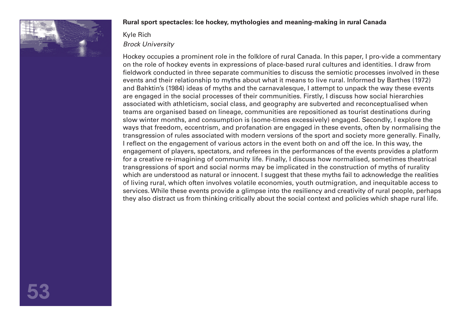

### **Rural sport spectacles: Ice hockey, mythologies and meaning-making in rural Canada**

### Kyle Rich *Brock University*

Hockey occupies a prominent role in the folklore of rural Canada. In this paper, I pro-vide a commentary on the role of hockey events in expressions of place-based rural cultures and identities. I draw from fieldwork conducted in three separate communities to discuss the semiotic processes involved in these events and their relationship to myths about what it means to live rural. Informed by Barthes (1972) and Bahktin's (1984) ideas of myths and the carnavalesque, I attempt to unpack the way these events are engaged in the social processes of their communities. Firstly, I discuss how social hierarchies associated with athleticism, social class, and geography are subverted and reconceptualised when teams are organised based on lineage, communities are repositioned as tourist destinations during slow winter months, and consumption is (some-times excessively) engaged. Secondly, I explore the ways that freedom, eccentrism, and profanation are engaged in these events, often by normalising the transgression of rules associated with modern versions of the sport and society more generally. Finally, I reflect on the engagement of various actors in the event both on and off the ice. In this way, the engagement of players, spectators, and referees in the performances of the events provides a platform for a creative re-imagining of community life. Finally, I discuss how normalised, sometimes theatrical transgressions of sport and social norms may be implicated in the construction of myths of rurality which are understood as natural or innocent. I suggest that these myths fail to acknowledge the realities of living rural, which often involves volatile economies, youth outmigration, and inequitable access to services. While these events provide a glimpse into the resiliency and creativity of rural people, perhaps they also distract us from thinking critically about the social context and policies which shape rural life.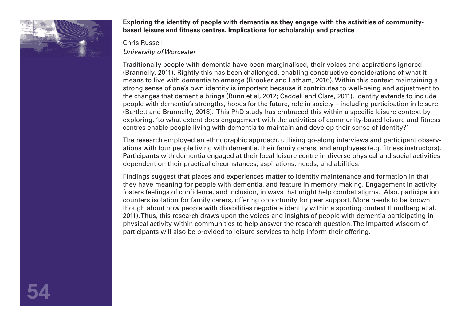

**Exploring the identity of people with dementia as they engage with the activities of communitybased leisure and fitness centres. Implications for scholarship and practice** 

# Chris Russell

*University of Worcester* 

Traditionally people with dementia have been marginalised, their voices and aspirations ignored (Brannelly, 2011). Rightly this has been challenged, enabling constructive considerations of what it means to live with dementia to emerge (Brooker and Latham, 2016). Within this context maintaining a strong sense of one's own identity is important because it contributes to well-being and adjustment to the changes that dementia brings (Bunn et al, 2012; Caddell and Clare, 2011). Identity extends to include people with dementia's strengths, hopes for the future, role in society – including participation in leisure (Bartlett and Brannelly, 2018). This PhD study has embraced this within a specific leisure context by exploring, 'to what extent does engagement with the activities of community-based leisure and fitness centres enable people living with dementia to maintain and develop their sense of identity?'

The research employed an ethnographic approach, utilising go-along interviews and participant observations with four people living with dementia, their family carers, and employees (e.g. fitness instructors). Participants with dementia engaged at their local leisure centre in diverse physical and social activities dependent on their practical circumstances, aspirations, needs, and abilities.

Findings suggest that places and experiences matter to identity maintenance and formation in that they have meaning for people with dementia, and feature in memory making. Engagement in activity fosters feelings of confidence, and inclusion, in ways that might help combat stigma. Also, participation counters isolation for family carers, offering opportunity for peer support. More needs to be known though about how people with disabilities negotiate identity within a sporting context (Lundberg et al, 2011). Thus, this research draws upon the voices and insights of people with dementia participating in physical activity within communities to help answer the research question. The imparted wisdom of participants will also be provided to leisure services to help inform their offering.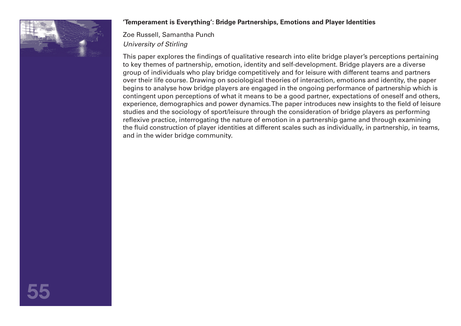

# **'Temperament is Everything': Bridge Partnerships, Emotions and Player Identities**

Zoe Russell, Samantha Punch *University of Stirling* 

This paper explores the findings of qualitative research into elite bridge player's perceptions pertaining to key themes of partnership, emotion, identity and self-development. Bridge players are a diverse group of individuals who play bridge competitively and for leisure with different teams and partners over their life course. Drawing on sociological theories of interaction, emotions and identity, the paper begins to analyse how bridge players are engaged in the ongoing performance of partnership which is contingent upon perceptions of what it means to be a good partner, expectations of oneself and others, experience, demographics and power dynamics. The paper introduces new insights to the field of leisure studies and the sociology of sport/leisure through the consideration of bridge players as performing reflexive practice, interrogating the nature of emotion in a partnership game and through examining the fluid construction of player identities at different scales such as individually, in partnership, in teams, and in the wider bridge community.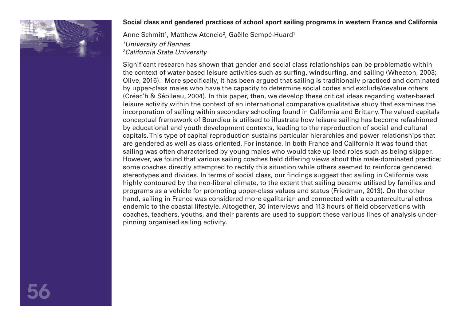

# **Social class and gendered practices of school sport sailing programs in western France and California**

Anne Schmitt<sup>1</sup>, Matthew Atencio<sup>2</sup>, Gaëlle Sempé-Huard<sup>1</sup> *1 University of Rennes 2 California State University* 

Significant research has shown that gender and social class relationships can be problematic within the context of water-based leisure activities such as surfing, windsurfing, and sailing (Wheaton, 2003; Olive, 2016). More specifically, it has been argued that sailing is traditionally practiced and dominated by upper-class males who have the capacity to determine social codes and exclude/devalue others (Créac'h & Sébileau, 2004). In this paper, then, we develop these critical ideas regarding water-based leisure activity within the context of an international comparative qualitative study that examines the incorporation of sailing within secondary schooling found in California and Brittany. The valued capitals conceptual framework of Bourdieu is utilised to illustrate how leisure sailing has become refashioned by educational and youth development contexts, leading to the reproduction of social and cultural capitals. This type of capital reproduction sustains particular hierarchies and power relationships that are gendered as well as class oriented. For instance, in both France and California it was found that sailing was often characterised by young males who would take up lead roles such as being skipper. However, we found that various sailing coaches held differing views about this male-dominated practice; some coaches directly attempted to rectify this situation while others seemed to reinforce gendered stereotypes and divides. In terms of social class, our findings suggest that sailing in California was highly contoured by the neo-liberal climate, to the extent that sailing became utilised by families and programs as a vehicle for promoting upper-class values and status (Friedman, 2013). On the other hand, sailing in France was considered more egalitarian and connected with a countercultural ethos endemic to the coastal lifestyle. Altogether, 30 interviews and 113 hours of field observations with coaches, teachers, youths, and their parents are used to support these various lines of analysis underpinning organised sailing activity.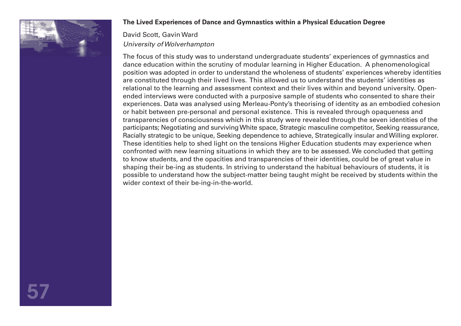

# **The Lived Experiences of Dance and Gymnastics within a Physical Education Degree**

# David Scott, Gavin Ward *University of Wolverhampton*

The focus of this study was to understand undergraduate students' experiences of gymnastics and dance education within the scrutiny of modular learning in Higher Education. A phenomenological position was adopted in order to understand the wholeness of students' experiences whereby identities are constituted through their lived lives. This allowed us to understand the students' identities as relational to the learning and assessment context and their lives within and beyond university. Openended interviews were conducted with a purposive sample of students who consented to share their experiences. Data was analysed using Merleau-Ponty's theorising of identity as an embodied cohesion or habit between pre-personal and personal existence. This is revealed through opaqueness and transparencies of consciousness which in this study were revealed through the seven identities of the participants; Negotiating and surviving White space, Strategic masculine competitor, Seeking reassurance, Racially strategic to be unique, Seeking dependence to achieve, Strategically insular and Willing explorer. These identities help to shed light on the tensions Higher Education students may experience when confronted with new learning situations in which they are to be assessed. We concluded that getting to know students, and the opacities and transparencies of their identities, could be of great value in shaping their be-ing as students. In striving to understand the habitual behaviours of students, it is possible to understand how the subject-matter being taught might be received by students within the wider context of their be-ing-in-the-world.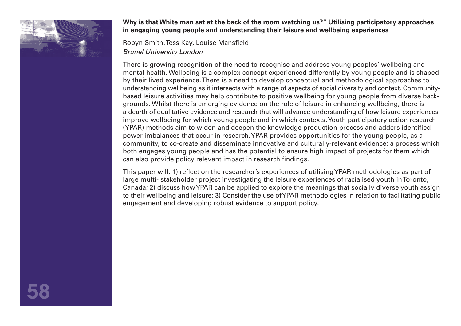

**Why is that White man sat at the back of the room watching us?" Utilising participatory approaches in engaging young people and understanding their leisure and wellbeing experiences** 

Robyn Smith, Tess Kay, Louise Mansfield *Brunel University London* 

There is growing recognition of the need to recognise and address young peoples' wellbeing and mental health. Wellbeing is a complex concept experienced differently by young people and is shaped by their lived experience. There is a need to develop conceptual and methodological approaches to understanding wellbeing as it intersects with a range of aspects of social diversity and context. Communitybased leisure activities may help contribute to positive wellbeing for young people from diverse backgrounds. Whilst there is emerging evidence on the role of leisure in enhancing wellbeing, there is a dearth of qualitative evidence and research that will advance understanding of how leisure experiences improve wellbeing for which young people and in which contexts. Youth participatory action research (YPAR) methods aim to widen and deepen the knowledge production process and adders identified power imbalances that occur in research. YPAR provides opportunities for the young people, as a community, to co-create and disseminate innovative and culturally-relevant evidence; a process which both engages young people and has the potential to ensure high impact of projects for them which can also provide policy relevant impact in research findings.

This paper will: 1) reflect on the researcher's experiences of utilising YPAR methodologies as part of large multi- stakeholder project investigating the leisure experiences of racialised youth in Toronto, Canada; 2) discuss how YPAR can be applied to explore the meanings that socially diverse youth assign to their wellbeing and leisure; 3) Consider the use of YPAR methodologies in relation to facilitating public engagement and developing robust evidence to support policy.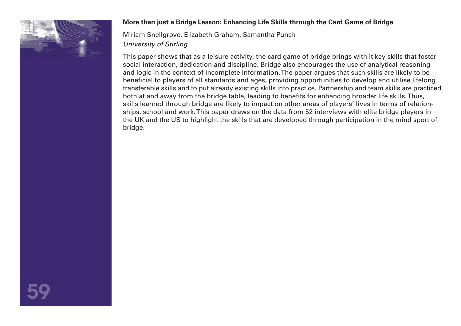

# **More than just a Bridge Lesson: Enhancing Life Skills through the Card Game of Bridge**

Miriam Snellgrove, Elizabeth Graham, Samantha Punch *University of Stirling* 

This paper shows that as a leisure activity, the card game of bridge brings with it key skills that foster social interaction, dedication and discipline. Bridge also encourages the use of analytical reasoning and logic in the context of incomplete information. The paper argues that such skills are likely to be beneficial to players of all standards and ages, providing opportunities to develop and utilise lifelong transferable skills and to put already existing skills into practice. Partnership and team skills are practiced both at and away from the bridge table, leading to benefits for enhancing broader life skills. Thus, skills learned through bridge are likely to impact on other areas of players' lives in terms of relationships, school and work. This paper draws on the data from 52 interviews with elite bridge players in the UK and the US to highlight the skills that are developed through participation in the mind sport of bridge.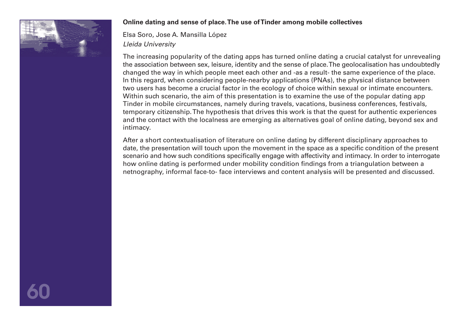

# **Online dating and sense of place. The use of Tinder among mobile collectives**

Elsa Soro, Jose A. Mansilla López *Lleida University* 

The increasing popularity of the dating apps has turned online dating a crucial catalyst for unrevealing the association between sex, leisure, identity and the sense of place. The geolocalisation has undoubtedly changed the way in which people meet each other and -as a result- the same experience of the place. In this regard, when considering people-nearby applications (PNAs), the physical distance between two users has become a crucial factor in the ecology of choice within sexual or intimate encounters. Within such scenario, the aim of this presentation is to examine the use of the popular dating app Tinder in mobile circumstances, namely during travels, vacations, business conferences, festivals, temporary citizenship. The hypothesis that drives this work is that the quest for authentic experiences and the contact with the localness are emerging as alternatives goal of online dating, beyond sex and intimacy.

After a short contextualisation of literature on online dating by different disciplinary approaches to date, the presentation will touch upon the movement in the space as a specific condition of the present scenario and how such conditions specifically engage with affectivity and intimacy. In order to interrogate how online dating is performed under mobility condition findings from a triangulation between a netnography, informal face-to- face interviews and content analysis will be presented and discussed.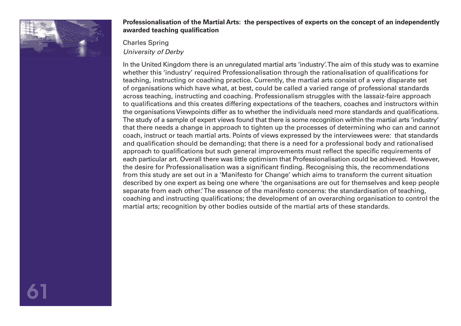

# **Professionalisation of the Martial Arts: the perspectives of experts on the concept of an independently awarded teaching qualification**

# Charles Spring *University of Derby*

In the United Kingdom there is an unregulated martial arts 'industry'. The aim of this study was to examine whether this 'industry' required Professionalisation through the rationalisation of qualifications for teaching, instructing or coaching practice. Currently, the martial arts consist of a very disparate set of organisations which have what, at best, could be called a varied range of professional standards across teaching, instructing and coaching. Professionalism struggles with the lassaiz-faire approach to qualifications and this creates differing expectations of the teachers, coaches and instructors within the organisations Viewpoints differ as to whether the individuals need more standards and qualifications. The study of a sample of expert views found that there is some recognition within the martial arts 'industry' that there needs a change in approach to tighten up the processes of determining who can and cannot coach, instruct or teach martial arts. Points of views expressed by the interviewees were: that standards and qualification should be demanding; that there is a need for a professional body and rationalised approach to qualifications but such general improvements must reflect the specific requirements of each particular art. Overall there was little optimism that Professionalisation could be achieved. However, the desire for Professionalisation was a significant finding. Recognising this, the recommendations from this study are set out in a 'Manifesto for Change' which aims to transform the current situation described by one expert as being one where 'the organisations are out for themselves and keep people separate from each other.' The essence of the manifesto concerns: the standardisation of teaching, coaching and instructing qualifications; the development of an overarching organisation to control the martial arts; recognition by other bodies outside of the martial arts of these standards.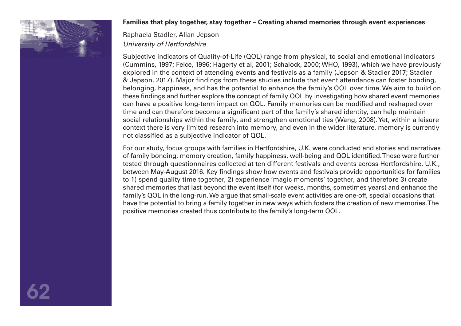

# **Families that play together, stay together – Creating shared memories through event experiences**

Raphaela Stadler, Allan Jepson *University of Hertfordshire* 

Subjective indicators of Quality-of-Life (QOL) range from physical, to social and emotional indicators (Cummins, 1997; Felce, 1996; Hagerty et al, 2001; Schalock, 2000; WHO, 1993), which we have previously explored in the context of attending events and festivals as a family (Jepson & Stadler 2017; Stadler & Jepson, 2017). Major findings from these studies include that event attendance can foster bonding, belonging, happiness, and has the potential to enhance the family's QOL over time. We aim to build on these findings and further explore the concept of family QOL by investigating how shared event memories can have a positive long-term impact on QOL. Family memories can be modified and reshaped over time and can therefore become a significant part of the family's shared identity, can help maintain social relationships within the family, and strengthen emotional ties (Wang, 2008). Yet, within a leisure context there is very limited research into memory, and even in the wider literature, memory is currently not classified as a subjective indicator of QOL.

For our study, focus groups with families in Hertfordshire, U.K. were conducted and stories and narratives of family bonding, memory creation, family happiness, well-being and QOL identified. These were further tested through questionnaires collected at ten different festivals and events across Hertfordshire, U.K., between May-August 2016. Key findings show how events and festivals provide opportunities for families to 1) spend quality time together, 2) experience 'magic moments' together, and therefore 3) create shared memories that last beyond the event itself (for weeks, months, sometimes years) and enhance the family's QOL in the long-run. We argue that small-scale event activities are one-off, special occasions that have the potential to bring a family together in new ways which fosters the creation of new memories. The positive memories created thus contribute to the family's long-term QOL.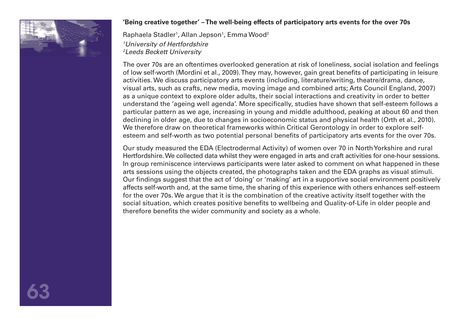

# **'Being creative together' – The well-being effects of participatory arts events for the over 70s**

Raphaela Stadler<sup>1</sup>, Allan Jepson<sup>1</sup>, Emma Wood<sup>2</sup> *1 University of Hertfordshire 2 Leeds Beckett University* 

The over 70s are an oftentimes overlooked generation at risk of loneliness, social isolation and feelings of low self-worth (Mordini et al., 2009). They may, however, gain great benefits of participating in leisure activities. We discuss participatory arts events (including, literature/writing, theatre/drama, dance, visual arts, such as crafts, new media, moving image and combined arts; Arts Council England, 2007) as a unique context to explore older adults, their social interactions and creativity in order to better understand the 'ageing well agenda'. More specifically, studies have shown that self-esteem follows a particular pattern as we age, increasing in young and middle adulthood, peaking at about 60 and then declining in older age, due to changes in socioeconomic status and physical health (Orth et al., 2010). We therefore draw on theoretical frameworks within Critical Gerontology in order to explore selfesteem and self-worth as two potential personal benefits of participatory arts events for the over 70s.

Our study measured the EDA (Electrodermal Activity) of women over 70 in North Yorkshire and rural Hertfordshire. We collected data whilst they were engaged in arts and craft activities for one-hour sessions. In group reminiscence interviews participants were later asked to comment on what happened in these arts sessions using the objects created, the photographs taken and the EDA graphs as visual stimuli. Our findings suggest that the act of 'doing' or 'making' art in a supportive social environment positively affects self-worth and, at the same time, the sharing of this experience with others enhances self-esteem for the over 70s. We argue that it is the combination of the creative activity itself together with the social situation, which creates positive benefits to wellbeing and Quality-of-Life in older people and therefore benefits the wider community and society as a whole.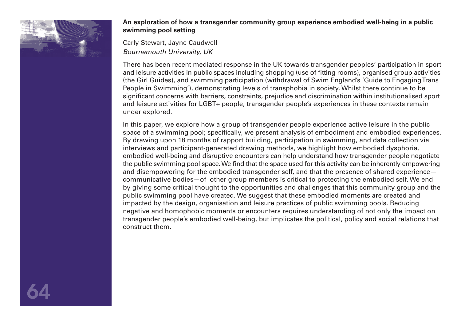

# **An exploration of how a transgender community group experience embodied well-being in a public swimming pool setting**

Carly Stewart, Jayne Caudwell *Bournemouth University, UK* 

There has been recent mediated response in the UK towards transgender peoples' participation in sport and leisure activities in public spaces including shopping (use of fitting rooms), organised group activities (the Girl Guides), and swimming participation (withdrawal of Swim England's 'Guide to Engaging Trans People in Swimming'), demonstrating levels of transphobia in society. Whilst there continue to be significant concerns with barriers, constraints, prejudice and discrimination within institutionalised sport and leisure activities for LGBT+ people, transgender people's experiences in these contexts remain under explored.

In this paper, we explore how a group of transgender people experience active leisure in the public space of a swimming pool; specifically, we present analysis of embodiment and embodied experiences. By drawing upon 18 months of rapport building, participation in swimming, and data collection via interviews and participant-generated drawing methods, we highlight how embodied dysphoria, embodied well-being and disruptive encounters can help understand how transgender people negotiate the public swimming pool space. We find that the space used for this activity can be inherently empowering and disempowering for the embodied transgender self, and that the presence of shared experience communicative bodies—of other group members is critical to protecting the embodied self. We end by giving some critical thought to the opportunities and challenges that this community group and the public swimming pool have created. We suggest that these embodied moments are created and impacted by the design, organisation and leisure practices of public swimming pools. Reducing negative and homophobic moments or encounters requires understanding of not only the impact on transgender people's embodied well-being, but implicates the political, policy and social relations that construct them.

64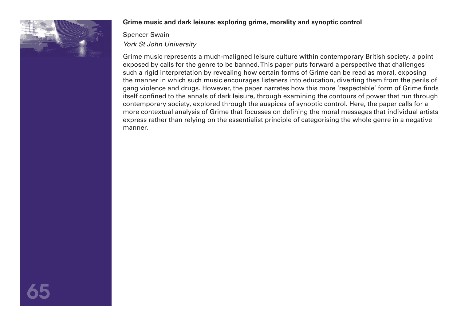

# **Grime music and dark leisure: exploring grime, morality and synoptic control**

# Spencer Swain *York St John University*

Grime music represents a much-maligned leisure culture within contemporary British society, a point exposed by calls for the genre to be banned. This paper puts forward a perspective that challenges such a rigid interpretation by revealing how certain forms of Grime can be read as moral, exposing the manner in which such music encourages listeners into education, diverting them from the perils of gang violence and drugs. However, the paper narrates how this more 'respectable' form of Grime finds itself confined to the annals of dark leisure, through examining the contours of power that run through contemporary society, explored through the auspices of synoptic control. Here, the paper calls for a more contextual analysis of Grime that focusses on defining the moral messages that individual artists express rather than relying on the essentialist principle of categorising the whole genre in a negative manner.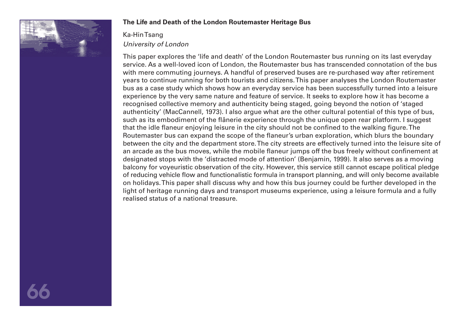

# **The Life and Death of the London Routemaster Heritage Bus**

# Ka-Hin Tsang *University of London*

This paper explores the 'life and death' of the London Routemaster bus running on its last everyday service. As a well-loved icon of London, the Routemaster bus has transcended connotation of the bus with mere commuting journeys. A handful of preserved buses are re-purchased way after retirement years to continue running for both tourists and citizens. This paper analyses the London Routemaster bus as a case study which shows how an everyday service has been successfully turned into a leisure experience by the very same nature and feature of service. It seeks to explore how it has become a recognised collective memory and authenticity being staged, going beyond the notion of 'staged authenticity' (MacCannell, 1973). I also argue what are the other cultural potential of this type of bus, such as its embodiment of the flânerie experience through the unique open rear platform. I suggest that the idle flaneur enjoying leisure in the city should not be confined to the walking figure. The Routemaster bus can expand the scope of the flaneur's urban exploration, which blurs the boundary between the city and the department store. The city streets are effectively turned into the leisure site of an arcade as the bus moves, while the mobile flaneur jumps off the bus freely without confinement at designated stops with the 'distracted mode of attention' (Benjamin, 1999). It also serves as a moving balcony for voyeuristic observation of the city. However, this service still cannot escape political pledge of reducing vehicle flow and functionalistic formula in transport planning, and will only become available on holidays. This paper shall discuss why and how this bus journey could be further developed in the light of heritage running days and transport museums experience, using a leisure formula and a fully realised status of a national treasure.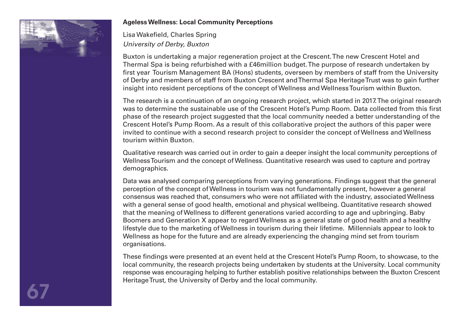

# **Ageless Wellness: Local Community Perceptions**

Lisa Wakefield, Charles Spring *University of Derby, Buxton* 

Buxton is undertaking a major regeneration project at the Crescent. The new Crescent Hotel and Thermal Spa is being refurbished with a £46million budget. The purpose of research undertaken by first year Tourism Management BA (Hons) students, overseen by members of staff from the University of Derby and members of staff from Buxton Crescent and Thermal Spa Heritage Trust was to gain further insight into resident perceptions of the concept of Wellness and Wellness Tourism within Buxton.

The research is a continuation of an ongoing research project, which started in 2017. The original research was to determine the sustainable use of the Crescent Hotel's Pump Room. Data collected from this first phase of the research project suggested that the local community needed a better understanding of the Crescent Hotel's Pump Room. As a result of this collaborative project the authors of this paper were invited to continue with a second research project to consider the concept of Wellness and Wellness tourism within Buxton.

Qualitative research was carried out in order to gain a deeper insight the local community perceptions of Wellness Tourism and the concept of Wellness. Quantitative research was used to capture and portray demographics.

Data was analysed comparing perceptions from varying generations. Findings suggest that the general perception of the concept of Wellness in tourism was not fundamentally present, however a general consensus was reached that, consumers who were not affiliated with the industry, associated Wellness with a general sense of good health, emotional and physical wellbeing. Quantitative research showed that the meaning of Wellness to different generations varied according to age and upbringing. Baby Boomers and Generation X appear to regard Wellness as a general state of good health and a healthy lifestyle due to the marketing of Wellness in tourism during their lifetime. Millennials appear to look to Wellness as hope for the future and are already experiencing the changing mind set from tourism organisations.

These findings were presented at an event held at the Crescent Hotel's Pump Room, to showcase, to the local community, the research projects being undertaken by students at the University. Local community response was encouraging helping to further establish positive relationships between the Buxton Crescent Heritage Trust, the University of Derby and the local community.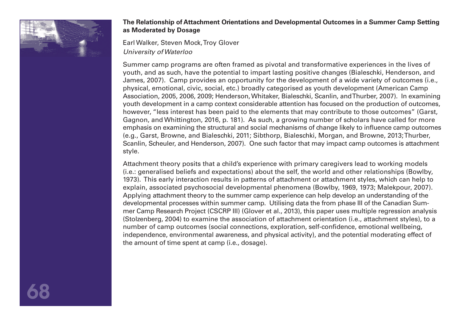

# **The Relationship of Attachment Orientations and Developmental Outcomes in a Summer Camp Setting as Moderated by Dosage**

Earl Walker, Steven Mock, Troy Glover *University of Waterloo* 

Summer camp programs are often framed as pivotal and transformative experiences in the lives of youth, and as such, have the potential to impart lasting positive changes (Bialeschki, Henderson, and James, 2007). Camp provides an opportunity for the development of a wide variety of outcomes (i.e., physical, emotional, civic, social, etc.) broadly categorised as youth development (American Camp Association, 2005, 2006, 2009; Henderson, Whitaker, Bialeschki, Scanlin, and Thurber, 2007). In examining youth development in a camp context considerable attention has focused on the production of outcomes, however, "less interest has been paid to the elements that may contribute to those outcomes" (Garst, Gagnon, and Whittington, 2016, p. 181). As such, a growing number of scholars have called for more emphasis on examining the structural and social mechanisms of change likely to influence camp outcomes (e.g., Garst, Browne, and Bialeschki, 2011; Sibthorp, Bialeschki, Morgan, and Browne, 2013; Thurber, Scanlin, Scheuler, and Henderson, 2007). One such factor that may impact camp outcomes is attachment style.

Attachment theory posits that a child's experience with primary caregivers lead to working models (i.e.: generalised beliefs and expectations) about the self, the world and other relationships (Bowlby, 1973). This early interaction results in patterns of attachment or attachment styles, which can help to explain, associated psychosocial developmental phenomena (Bowlby, 1969, 1973; Malekpour, 2007). Applying attachment theory to the summer camp experience can help develop an understanding of the developmental processes within summer camp. Utilising data the from phase III of the Canadian Summer Camp Research Project (CSCRP III) (Glover et al., 2013), this paper uses multiple regression analysis (Stolzenberg, 2004) to examine the association of attachment orientation (i.e., attachment styles), to a number of camp outcomes (social connections, exploration, self-confidence, emotional wellbeing, independence, environmental awareness, and physical activity), and the potential moderating effect of the amount of time spent at camp (i.e., dosage).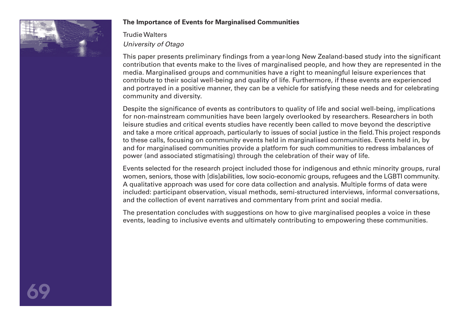

# **The Importance of Events for Marginalised Communities**

Trudie Walters *University of Otago* 

This paper presents preliminary findings from a year-long New Zealand-based study into the significant contribution that events make to the lives of marginalised people, and how they are represented in the media. Marginalised groups and communities have a right to meaningful leisure experiences that contribute to their social well-being and quality of life. Furthermore, if these events are experienced and portrayed in a positive manner, they can be a vehicle for satisfying these needs and for celebrating community and diversity.

Despite the significance of events as contributors to quality of life and social well-being, implications for non-mainstream communities have been largely overlooked by researchers. Researchers in both leisure studies and critical events studies have recently been called to move beyond the descriptive and take a more critical approach, particularly to issues of social justice in the field. This project responds to these calls, focusing on community events held in marginalised communities. Events held in, by and for marginalised communities provide a platform for such communities to redress imbalances of power (and associated stigmatising) through the celebration of their way of life.

Events selected for the research project included those for indigenous and ethnic minority groups, rural women, seniors, those with [dis]abilities, low socio-economic groups, refugees and the LGBTI community. A qualitative approach was used for core data collection and analysis. Multiple forms of data were included: participant observation, visual methods, semi-structured interviews, informal conversations, and the collection of event narratives and commentary from print and social media.

The presentation concludes with suggestions on how to give marginalised peoples a voice in these events, leading to inclusive events and ultimately contributing to empowering these communities.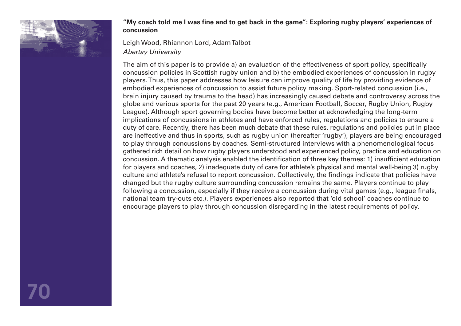

# **"My coach told me I was fine and to get back in the game": Exploring rugby players' experiences of concussion**

Leigh Wood, Rhiannon Lord, Adam Talbot *Abertay University* 

The aim of this paper is to provide a) an evaluation of the effectiveness of sport policy, specifically concussion policies in Scottish rugby union and b) the embodied experiences of concussion in rugby players. Thus, this paper addresses how leisure can improve quality of life by providing evidence of embodied experiences of concussion to assist future policy making. Sport-related concussion (i.e., brain injury caused by trauma to the head) has increasingly caused debate and controversy across the globe and various sports for the past 20 years (e.g., American Football, Soccer, Rugby Union, Rugby League). Although sport governing bodies have become better at acknowledging the long-term implications of concussions in athletes and have enforced rules, regulations and policies to ensure a duty of care. Recently, there has been much debate that these rules, regulations and policies put in place are ineffective and thus in sports, such as rugby union (hereafter 'rugby'), players are being encouraged to play through concussions by coaches. Semi-structured interviews with a phenomenological focus gathered rich detail on how rugby players understood and experienced policy, practice and education on concussion. A thematic analysis enabled the identification of three key themes: 1) insufficient education for players and coaches, 2) inadequate duty of care for athlete's physical and mental well-being 3) rugby culture and athlete's refusal to report concussion. Collectively, the findings indicate that policies have changed but the rugby culture surrounding concussion remains the same. Players continue to play following a concussion, especially if they receive a concussion during vital games (e.g., league finals, national team try-outs etc.). Players experiences also reported that 'old school' coaches continue to encourage players to play through concussion disregarding in the latest requirements of policy.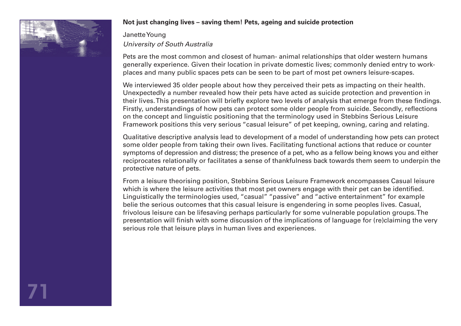

# **Not just changing lives – saving them! Pets, ageing and suicide protection**

Janette Young *University of South Australia* 

Pets are the most common and closest of human- animal relationships that older western humans generally experience. Given their location in private domestic lives; commonly denied entry to workplaces and many public spaces pets can be seen to be part of most pet owners leisure-scapes.

We interviewed 35 older people about how they perceived their pets as impacting on their health. Unexpectedly a number revealed how their pets have acted as suicide protection and prevention in their lives. This presentation will briefly explore two levels of analysis that emerge from these findings. Firstly, understandings of how pets can protect some older people from suicide. Secondly, reflections on the concept and linguistic positioning that the terminology used in Stebbins Serious Leisure Framework positions this very serious "casual leisure" of pet keeping, owning, caring and relating.

Qualitative descriptive analysis lead to development of a model of understanding how pets can protect some older people from taking their own lives. Facilitating functional actions that reduce or counter symptoms of depression and distress; the presence of a pet, who as a fellow being knows you and either reciprocates relationally or facilitates a sense of thankfulness back towards them seem to underpin the protective nature of pets.

From a leisure theorising position, Stebbins Serious Leisure Framework encompasses Casual leisure which is where the leisure activities that most pet owners engage with their pet can be identified. Linguistically the terminologies used, "casual" "passive" and "active entertainment" for example belie the serious outcomes that this casual leisure is engendering in some peoples lives. Casual, frivolous leisure can be lifesaving perhaps particularly for some vulnerable population groups. The presentation will finish with some discussion of the implications of language for (re)claiming the very serious role that leisure plays in human lives and experiences.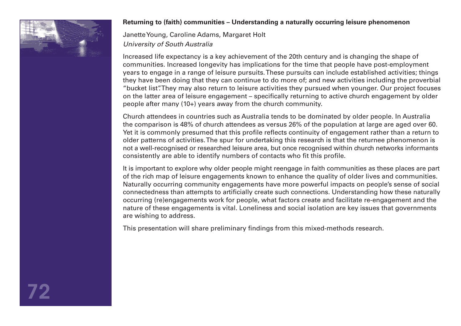

## **Returning to (faith) communities – Understanding a naturally occurring leisure phenomenon**

Janette Young, Caroline Adams, Margaret Holt *University of South Australia* 

Increased life expectancy is a key achievement of the 20th century and is changing the shape of communities. Increased longevity has implications for the time that people have post-employment years to engage in a range of leisure pursuits. These pursuits can include established activities; things they have been doing that they can continue to do more of; and new activities including the proverbial "bucket list". They may also return to leisure activities they pursued when younger. Our project focuses on the latter area of leisure engagement – specifically returning to active church engagement by older people after many (10+) years away from the church community.

Church attendees in countries such as Australia tends to be dominated by older people. In Australia the comparison is 48% of church attendees as versus 26% of the population at large are aged over 60. Yet it is commonly presumed that this profile reflects continuity of engagement rather than a return to older patterns of activities. The spur for undertaking this research is that the returnee phenomenon is not a well-recognised or researched leisure area, but once recognised within church networks informants consistently are able to identify numbers of contacts who fit this profile.

It is important to explore why older people might reengage in faith communities as these places are part of the rich map of leisure engagements known to enhance the quality of older lives and communities. Naturally occurring community engagements have more powerful impacts on people's sense of social connectedness than attempts to artificially create such connections. Understanding how these naturally occurring (re)engagements work for people, what factors create and facilitate re-engagement and the nature of these engagements is vital. Loneliness and social isolation are key issues that governments are wishing to address.

This presentation will share preliminary findings from this mixed-methods research.